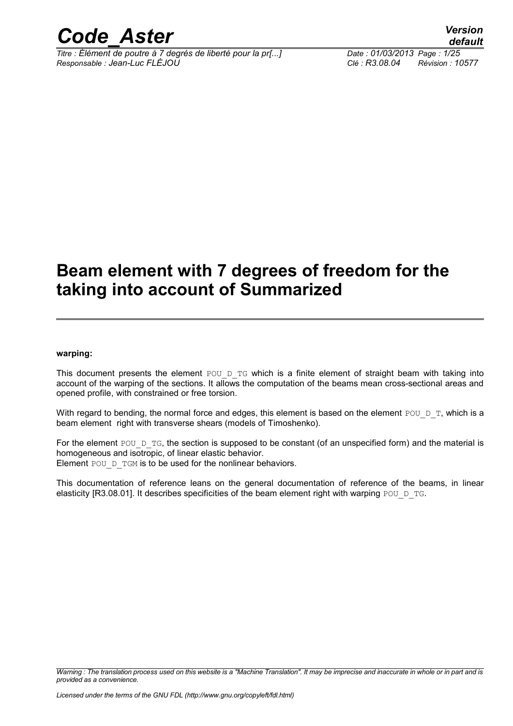

*Titre : Élément de poutre à 7 degrés de liberté pour la pr[...] Date : 01/03/2013 Page : 1/25 Responsable : Jean-Luc FLÉJOU Clé : R3.08.04 Révision : 10577*

### **Beam element with 7 degrees of freedom for the taking into account of Summarized**

#### **warping:**

This document presents the element POU D TG which is a finite element of straight beam with taking into account of the warping of the sections. It allows the computation of the beams mean cross-sectional areas and opened profile, with constrained or free torsion.

With regard to bending, the normal force and edges, this element is based on the element POU  $D$  T, which is a beam element right with transverse shears (models of Timoshenko).

For the element POU  $D$  TG, the section is supposed to be constant (of an unspecified form) and the material is homogeneous and isotropic, of linear elastic behavior. Element POU D TGM is to be used for the nonlinear behaviors.

This documentation of reference leans on the general documentation of reference of the beams, in linear elasticity [R3.08.01]. It describes specificities of the beam element right with warping POU  $D$  TG.

*Warning : The translation process used on this website is a "Machine Translation". It may be imprecise and inaccurate in whole or in part and is provided as a convenience.*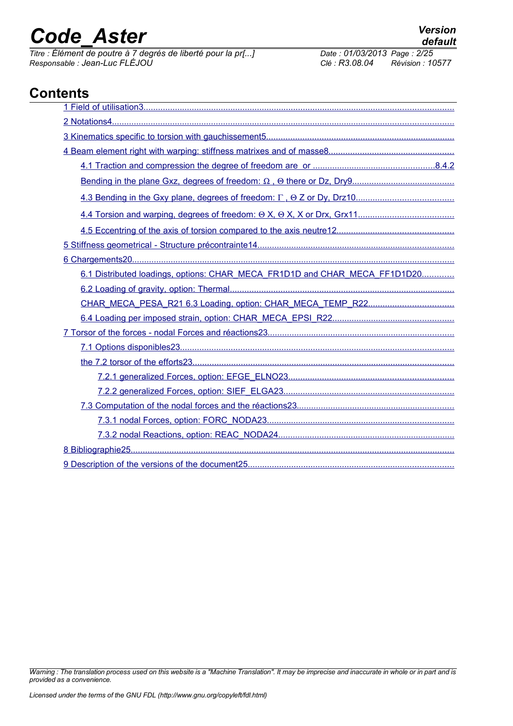*Titre : Élément de poutre à 7 degrés de liberté pour la pr[...] Date : 01/03/2013 Page : 2/25 Responsable : Jean-Luc FLÉJOU Clé : R3.08.04 Révision : 10577*

### **Contents**

| 6.1 Distributed loadings, options: CHAR_MECA_FR1D1D and CHAR_MECA_FF1D1D20 |
|----------------------------------------------------------------------------|
|                                                                            |
|                                                                            |
|                                                                            |
|                                                                            |
|                                                                            |
|                                                                            |
|                                                                            |
|                                                                            |
|                                                                            |
|                                                                            |
|                                                                            |
|                                                                            |
|                                                                            |

*Warning : The translation process used on this website is a "Machine Translation". It may be imprecise and inaccurate in whole or in part and is provided as a convenience.*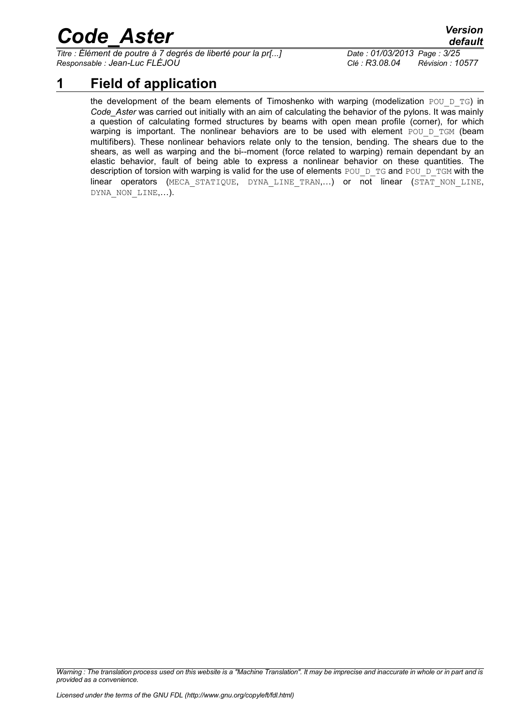*Titre : Élément de poutre à 7 degrés de liberté pour la pr[...] Date : 01/03/2013 Page : 3/25 Responsable : Jean-Luc FLÉJOU Clé : R3.08.04 Révision : 10577*

*default*

### **1 Field of application**

<span id="page-2-0"></span>the development of the beam elements of Timoshenko with warping (modelization POU D TG) in *Code\_Aster* was carried out initially with an aim of calculating the behavior of the pylons. It was mainly a question of calculating formed structures by beams with open mean profile (corner), for which warping is important. The nonlinear behaviors are to be used with element POU D TGM (beam multifibers). These nonlinear behaviors relate only to the tension, bending. The shears due to the shears, as well as warping and the bi--moment (force related to warping) remain dependant by an elastic behavior, fault of being able to express a nonlinear behavior on these quantities. The description of torsion with warping is valid for the use of elements POU  $D$  TG and POU  $D$  TGM with the linear operators (MECA STATIQUE, DYNA LINE TRAN,...) or not linear (STAT NON LINE, DYNA\_NON\_LINE,…).

*Warning : The translation process used on this website is a "Machine Translation". It may be imprecise and inaccurate in whole or in part and is provided as a convenience.*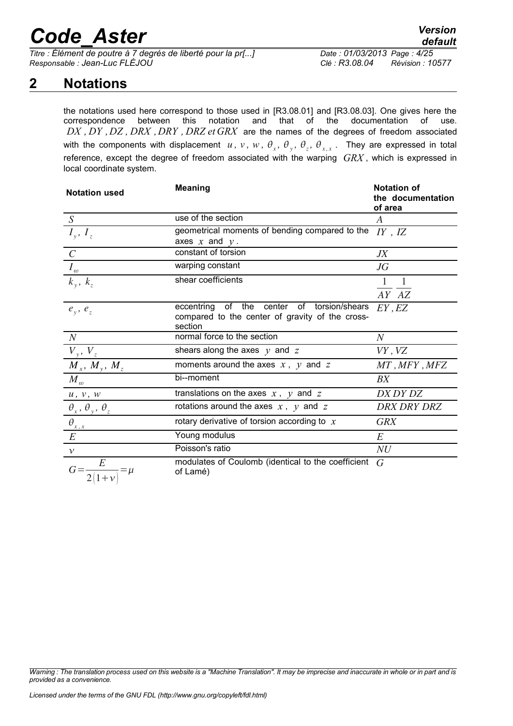*Titre : Élément de poutre à 7 degrés de liberté pour la pr[...] Date : 01/03/2013 Page : 4/25 Responsable : Jean-Luc FLÉJOU Clé : R3.08.04 Révision : 10577*

### **2 Notations**

<span id="page-3-0"></span>the notations used here correspond to those used in [R3.08.01] and [R3.08.03]. One gives here the correspondence between this notation and that of the documentation of use. *DX , DY ,DZ , DRX ,DRY , DRZ et GRX* are the names of the degrees of freedom associated with the components with displacement  $u$ ,  $v$ ,  $w$ ,  $\theta_x$ ,  $\theta_y$ ,  $\theta_z$ ,  $\theta_{x,x}$ . They are expressed in total reference, except the degree of freedom associated with the warping *GRX* , which is expressed in local coordinate system.

| <b>Notation used</b>                 | <b>Notation of</b><br><b>Meaning</b><br>the documentation<br>of area                                        |                       |  |  |  |  |  |  |  |
|--------------------------------------|-------------------------------------------------------------------------------------------------------------|-----------------------|--|--|--|--|--|--|--|
| S                                    | use of the section                                                                                          | A                     |  |  |  |  |  |  |  |
| $I_{y}, I_{z}$                       | geometrical moments of bending compared to the<br>axes $x$ and $y$ .                                        | $IY$ , $IZ$           |  |  |  |  |  |  |  |
| $\overline{C}$                       | constant of torsion                                                                                         | JX                    |  |  |  |  |  |  |  |
|                                      | warping constant                                                                                            | $J\overline{G}$       |  |  |  |  |  |  |  |
| $\frac{I_{\omega}}{k_{y}, k_{z}}$    | shear coefficients                                                                                          | $\mathbf{1}$<br>AY AZ |  |  |  |  |  |  |  |
| $e_y$ , $e_z$                        | of the center of torsion/shears<br>eccentring<br>compared to the center of gravity of the cross-<br>section | EY, EZ                |  |  |  |  |  |  |  |
| N                                    | normal force to the section                                                                                 | $\it N$               |  |  |  |  |  |  |  |
|                                      | shears along the axes $y$ and $z$                                                                           | VY, VZ                |  |  |  |  |  |  |  |
| $\frac{V_y, V_z}{M_x, M_y, M_z}$     | moments around the axes $x, y$ and $z$                                                                      | MT, MFY, MFZ          |  |  |  |  |  |  |  |
| $M_{\omega}$                         | bi--moment                                                                                                  | BX                    |  |  |  |  |  |  |  |
| $u$ , $v$ , $w$                      | translations on the axes $x$ , $y$ and $z$                                                                  | DX DY DZ              |  |  |  |  |  |  |  |
| $\theta_x$ , $\theta_y$ , $\theta_z$ | rotations around the axes $x$ , $y$ and $z$                                                                 | <b>DRX DRY DRZ</b>    |  |  |  |  |  |  |  |
| $\frac{\theta_{x,x}}{E}$             | rotary derivative of torsion according to $x$                                                               | <b>GRX</b>            |  |  |  |  |  |  |  |
|                                      | Young modulus                                                                                               | E                     |  |  |  |  |  |  |  |
| $\mathcal V$                         | Poisson's ratio                                                                                             | NU                    |  |  |  |  |  |  |  |
|                                      | modulates of Coulomb (identical to the coefficient<br>of Lamé)                                              | G                     |  |  |  |  |  |  |  |

*Warning : The translation process used on this website is a "Machine Translation". It may be imprecise and inaccurate in whole or in part and is provided as a convenience.*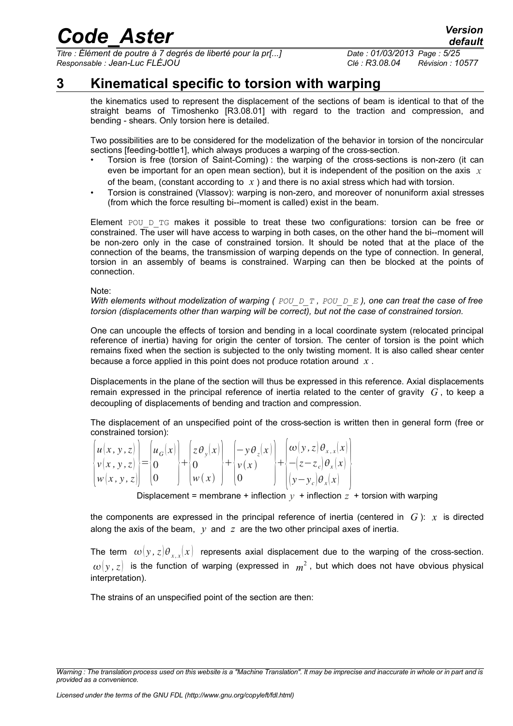*Titre : Élément de poutre à 7 degrés de liberté pour la pr[...] Date : 01/03/2013 Page : 5/25 Responsable : Jean-Luc FLÉJOU Clé : R3.08.04 Révision : 10577*

### **3 Kinematical specific to torsion with warping**

<span id="page-4-0"></span>the kinematics used to represent the displacement of the sections of beam is identical to that of the straight beams of Timoshenko [R3.08.01] with regard to the traction and compression, and bending - shears. Only torsion here is detailed.

Two possibilities are to be considered for the modelization of the behavior in torsion of the noncircular sections [feeding-bottl[e1\]](#page-24-2), which always produces a warping of the cross-section.

- Torsion is free (torsion of Saint-Coming) : the warping of the cross-sections is non-zero (it can even be important for an open mean section), but it is independent of the position on the axis *x* of the beam, (constant according to *x* ) and there is no axial stress which had with torsion.
- Torsion is constrained (Vlassov): warping is non-zero, and moreover of nonuniform axial stresses (from which the force resulting bi--moment is called) exist in the beam.

Element POU D TG makes it possible to treat these two configurations: torsion can be free or constrained. The user will have access to warping in both cases, on the other hand the bi--moment will be non-zero only in the case of constrained torsion. It should be noted that at the place of the connection of the beams, the transmission of warping depends on the type of connection. In general, torsion in an assembly of beams is constrained. Warping can then be blocked at the points of connection.

Note:

*With elements without modelization of warping ( POU\_D\_T , POU\_D\_E ), one can treat the case of free torsion (displacements other than warping will be correct), but not the case of constrained torsion.*

One can uncouple the effects of torsion and bending in a local coordinate system (relocated principal reference of inertia) having for origin the center of torsion. The center of torsion is the point which remains fixed when the section is subjected to the only twisting moment. It is also called shear center because a force applied in this point does not produce rotation around *x* .

Displacements in the plane of the section will thus be expressed in this reference. Axial displacements remain expressed in the principal reference of inertia related to the center of gravity *G* , to keep a decoupling of displacements of bending and traction and compression.

The displacement of an unspecified point of the cross-section is written then in general form (free or constrained torsion):

|                                                |  |                                            |                       | $ u(x, y, z)  \,  u_G(x)  \,  z \theta_y(x)  \,  -y \theta_z(x)  \,  \omega(y, z) \theta_{x,x}(x) $ |
|------------------------------------------------|--|--------------------------------------------|-----------------------|-----------------------------------------------------------------------------------------------------|
| $\{v(x, y, z)\} = \{0\}$                       |  | $\vert + \vert_0$                          | $\mathbb{H}_{\nu}(x)$ | $\left\{+\left(-\left(z-z_c\right)\theta_x\left(x\right)\right)\right\}$                            |
| $\left  w(x, y, z) \right $ $\left  0 \right $ |  | $\lfloor w(x) \rfloor$ $\lfloor 0 \rfloor$ |                       | $\int$ $ (y-y_c)\theta_x(x) $                                                                       |

Displacement = membrane + inflection  $y +$  inflection  $z +$  torsion with warping

the components are expressed in the principal reference of inertia (centered in *G* ): *x* is directed along the axis of the beam,  $y$  and  $z$  are the two other principal axes of inertia.

The term  $\omega(y,z|\theta_{x,x}|x)$  represents axial displacement due to the warping of the cross-section.  $\omega(y,z)$  is the function of warping (expressed in  $m^2$  , but which does not have obvious physical interpretation).

The strains of an unspecified point of the section are then:

*Warning : The translation process used on this website is a "Machine Translation". It may be imprecise and inaccurate in whole or in part and is provided as a convenience.*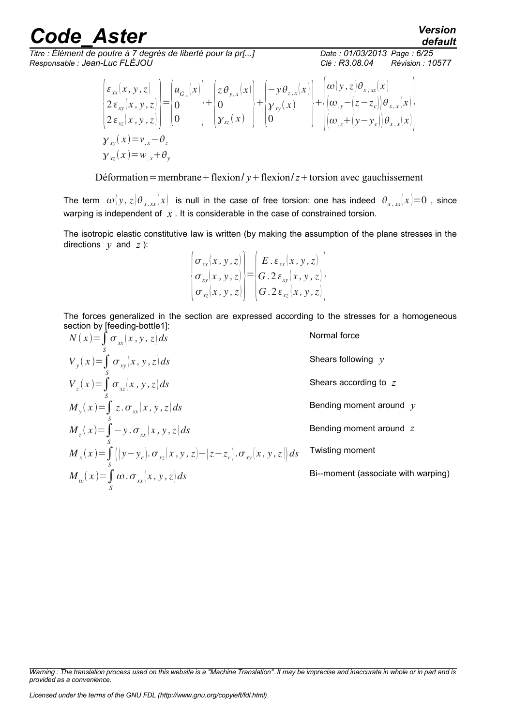*Titre : Élément de poutre à 7 degrés de liberté pour la pr[...] Date : 01/03/2013 Page : 6/25 Responsable : Jean-Luc FLÉJOU Clé : R3.08.04 Révision : 10577*

*default*

$$
\begin{aligned}\n\begin{bmatrix}\n\varepsilon_{xx}(x, y, z) \\
2\varepsilon_{xy}(x, y, z) \\
2\varepsilon_{xz}(x, y, z)\n\end{bmatrix} &= \begin{bmatrix}\nu_{\sigma_x}(x) \\
0 \\
0\n\end{bmatrix} + \begin{bmatrix}\nz \theta_{y,x}(x) \\
0 \\
y_{xy}(x)\n\end{bmatrix} + \begin{bmatrix}\n-y \theta_{z,x}(x) \\
w(y, z) \theta_{x,xx}(x) \\
\omega_{y} - (z - z_c)\theta_{x,x}(x)\n\end{bmatrix} \\
\mathbf{y}_{xy}(x) &= v_{,x} - \theta_z \\
\mathbf{y}_{xz}(x) &= w_{,x} + \theta_y\n\end{aligned}
$$

Déformation=membrane + flexion/ $y$  + flexion/ $z$  + torsion avec gauchissement

The term  $\omega(y, z)\theta_{x,xx}(x)$  is null in the case of free torsion: one has indeed  $\theta_{x,xx}(x)=0$ , since warping is independent of *x*. It is considerable in the case of constrained torsion.

The isotropic elastic constitutive law is written (by making the assumption of the plane stresses in the directions  $y$  and  $z$ ):

$$
\begin{Bmatrix}\n\sigma_{xx}(x, y, z) \\
\sigma_{xy}(x, y, z) \\
\sigma_{xz}(x, y, z)\n\end{Bmatrix} = \begin{Bmatrix}\nE. \varepsilon_{xx}(x, y, z) \\
G. 2 \varepsilon_{xy}(x, y, z) \\
G. 2 \varepsilon_{xz}(x, y, z)\n\end{Bmatrix}
$$

The forces generalized in the section are expressed according to the stresses for a homogeneous section by [feeding-bottl[e1\]](#page-24-2):

| $N(x) = \int_{S} \sigma_{xx}(x, y, z) ds$                                                                  | Normal force                        |
|------------------------------------------------------------------------------------------------------------|-------------------------------------|
| $V_{y}(x) = \int_{S} \sigma_{xy}(x, y, z) ds$                                                              | Shears following $y$                |
| $V_z(x) = \int_S \sigma_{xz}(x, y, z) ds$                                                                  | Shears according to z               |
| $M_{y}(x) = \int_{x}^{x} z \cdot \sigma_{xx}(x, y, z) ds$                                                  | Bending moment around $y$           |
| $M_z(x) = \int_C -y \cdot \sigma_{xx}(x, y, z) ds$                                                         | Bending moment around z             |
| $M_{x}(x) = \int_{-\infty}^{x} ((y - y_{c}), \sigma_{xz}(x, y, z) - (z - z_{c}), \sigma_{xy}(x, y, z)) ds$ | <b>Twisting moment</b>              |
| $M_{\omega}(x) = \int_{a} \omega \cdot \sigma_{xx}(x, y, z) ds$                                            | Bi--moment (associate with warping) |
|                                                                                                            |                                     |

*Warning : The translation process used on this website is a "Machine Translation". It may be imprecise and inaccurate in whole or in part and is provided as a convenience.*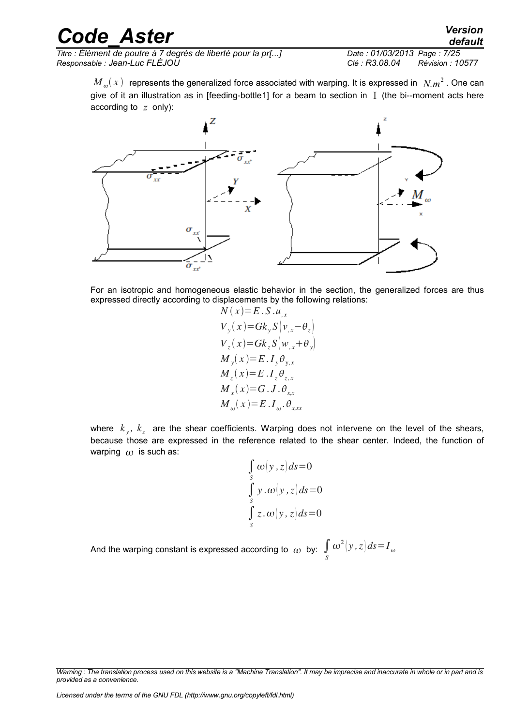| <b>Code Aster</b>                                                                                                                                                                                                                                         | <b>Version</b><br>default       |
|-----------------------------------------------------------------------------------------------------------------------------------------------------------------------------------------------------------------------------------------------------------|---------------------------------|
| Titre : Élément de poutre à 7 degrés de liberté pour la pr[]                                                                                                                                                                                              | Date: 01/03/2013 Page: 7/25     |
| Responsable : Jean-Luc FLÉJOU                                                                                                                                                                                                                             | Clé : R3.08.04 Révision : 10577 |
| $M_{\nu}(x)$ represents the generalized force associated with warping. It is expressed in $N m^2$ . One can<br>give of it an illustration as in [feeding-bottle1] for a beam to section in $\bar{I}$ (the bi--moment acts here<br>according to $z$ only): |                                 |



For an isotropic and homogeneous elastic behavior in the section, the generalized forces are thus expressed directly according to displacements by the following relations:

$$
N(x)=E.S.u_{,x}
$$
  
\n
$$
V_y(x)=Gk_yS(v_{,x}-\theta_z)
$$
  
\n
$$
V_z(x)=Gk_zS(w_{,x}+\theta_y)
$$
  
\n
$$
M_y(x)=E.I_y\theta_{y,x}
$$
  
\n
$$
M_z(x)=E.I_z\theta_{z,x}
$$
  
\n
$$
M_x(x)=G.J.\theta_{x,x}
$$
  
\n
$$
M_w(x)=E.I_w.\theta_{x,x}
$$

where  $k_{y}$ ,  $k_{z}$  are the shear coefficients. Warping does not intervene on the level of the shears, because those are expressed in the reference related to the shear center. Indeed, the function of warping  $\omega$  is such as:

$$
\int_{s} \omega(y, z) ds = 0
$$
  

$$
\int_{s} y \cdot \omega(y, z) ds = 0
$$
  

$$
\int_{s} z \cdot \omega(y, z) ds = 0
$$

And the warping constant is expressed according to  $\frac{}{\alpha}$  by:  $\int\limits_{S}$  $\omega^2(y, z)ds = I_{\omega}$ 

*Licensed under the terms of the GNU FDL (http://www.gnu.org/copyleft/fdl.html)*

*Warning : The translation process used on this website is a "Machine Translation". It may be imprecise and inaccurate in whole or in part and is provided as a convenience.*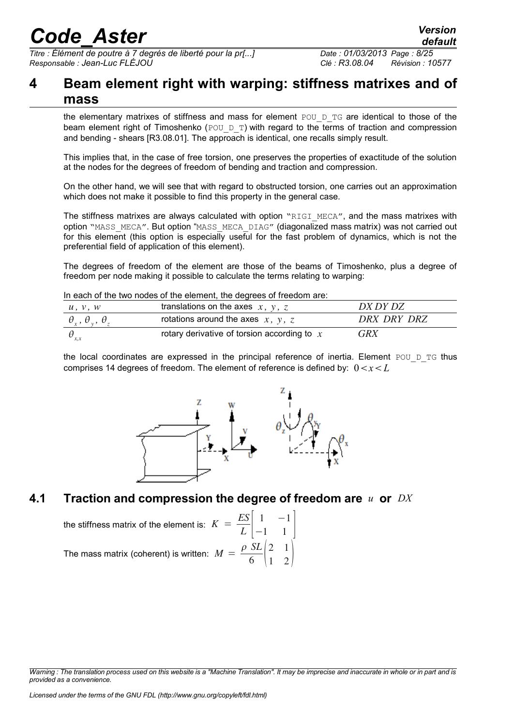*Titre : Élément de poutre à 7 degrés de liberté pour la pr[...] Date : 01/03/2013 Page : 8/25 Responsable : Jean-Luc FLÉJOU Clé : R3.08.04 Révision : 10577*

### <span id="page-7-1"></span>**4 Beam element right with warping: stiffness matrixes and of mass**

the elementary matrixes of stiffness and mass for element  $POU\_D\_TG$  are identical to those of the beam element right of Timoshenko (POU D\_T) with regard to the terms of traction and compression and bending - shears [R3.08.01]. The approach is identical, one recalls simply result.

This implies that, in the case of free torsion, one preserves the properties of exactitude of the solution at the nodes for the degrees of freedom of bending and traction and compression.

On the other hand, we will see that with regard to obstructed torsion, one carries out an approximation which does not make it possible to find this property in the general case.

The stiffness matrixes are always calculated with option "RIGI\_MECA", and the mass matrixes with option "MASS\_MECA". But option "MASS\_MECA\_DIAG" (diagonalized mass matrix) was not carried out for this element (this option is especially useful for the fast problem of dynamics, which is not the preferential field of application of this element).

The degrees of freedom of the element are those of the beams of Timoshenko, plus a degree of freedom per node making it possible to calculate the terms relating to warping:

#### In each of the two nodes of the element, the degrees of freedom are:

| u, v, w                              | translations on the axes $x, y, z$            | DX DY DZ    |
|--------------------------------------|-----------------------------------------------|-------------|
| $\theta_x$ , $\theta_y$ , $\theta_z$ | rotations around the axes $x, y, z$           | DRX DRY DRZ |
|                                      | rotary derivative of torsion according to $x$ | <b>GRX</b>  |

the local coordinates are expressed in the principal reference of inertia. Element POU  $D$  TG thus comprises 14 degrees of freedom. The element of reference is defined by:  $0 < x < L$ 



#### **4.1 Traction and compression the degree of freedom are** *u* **or** *DX*

<span id="page-7-0"></span>the stiffness matrix of the element is: 
$$
K = \frac{ES}{L} \begin{bmatrix} 1 & -1 \\ -1 & 1 \end{bmatrix}
$$
  
The mass matrix (coherent) is written:  $M = \frac{\rho SL}{6} \begin{bmatrix} 2 & 1 \\ 1 & 2 \end{bmatrix}$ 

*Warning : The translation process used on this website is a "Machine Translation". It may be imprecise and inaccurate in whole or in part and is provided as a convenience.*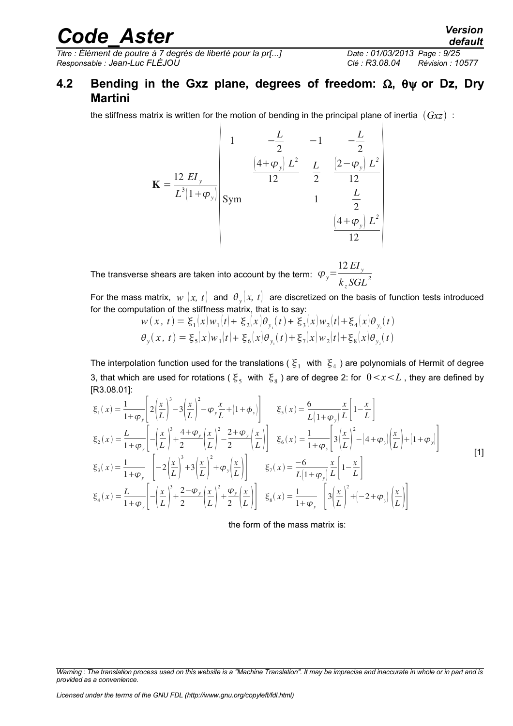*Titre : Élément de poutre à 7 degrés de liberté pour la pr[...] Date : 01/03/2013 Page : 9/25 Responsable : Jean-Luc FLÉJOU Clé : R3.08.04 Révision : 10577*

#### <span id="page-8-0"></span>**4.2 Bending in the Gxz plane, degrees of freedom: , or Dz, Dry Martini**

the stiffness matrix is written for the motion of bending in the principal plane of inertia  $(Gxz)$ :

$$
\mathbf{K} = \frac{12 \ E I_y}{L^3 (1 + \varphi_y)} \begin{bmatrix} 1 & -\frac{L}{2} & -1 & -\frac{L}{2} \\ \frac{(4 + \varphi_y) L^2}{12} & \frac{L}{2} & \frac{(2 - \varphi_y) L^2}{12} \\ 5 \text{ym} & 1 & \frac{L}{2} \\ \frac{(4 + \varphi_y) L^2}{12} & \frac{(4 + \varphi_y) L^2}{12} \end{bmatrix}
$$

The transverse shears are taken into account by the term:  $\ket{\varphi_{y}}$ =  $12 EI_y$  $k_z SGL^2$ 

For the mass matrix,  $w(x, t)$  and  $\theta_y(x, t)$  are discretized on the basis of function tests introduced for the computation of the stiffness matrix, that is to say:

$$
w(x, t) = \xi_1(x)w_1(t) + \xi_2(x)\theta_{y_1}(t) + \xi_3(x)w_2(t) + \xi_4(x)\theta_{y_2}(t)
$$
  

$$
\theta_y(x, t) = \xi_5(x)w_1(t) + \xi_6(x)\theta_{y_1}(t) + \xi_7(x)w_2(t) + \xi_8(x)\theta_{y_2}(t)
$$

The interpolation function used for the translations (  $\xi_1\,$  with  $\, \xi_4$  ) are polynomials of Hermit of degree 3, that which are used for rotations (  $\xi_5\;$  with  $\; \xi_8$  ) are of degree 2: for  $\;0\!<\!x\!<\!L$  , they are defined by [R3.08.01]:

$$
\xi_{1}(x) = \frac{1}{1+\varphi_{y}} \left[ 2\left(\frac{x}{L}\right)^{3} - 3\left(\frac{x}{L}\right)^{2} - \varphi_{y}\frac{x}{L} + \left(1+\varphi_{y}\right) \right] \qquad \xi_{5}(x) = \frac{6}{L\left(1+\varphi_{y}\right)} \frac{x}{L} \left[1-\frac{x}{L}\right]
$$
\n
$$
\xi_{2}(x) = \frac{L}{1+\varphi_{y}} \left[ -\left(\frac{x}{L}\right)^{3} + \frac{4+\varphi_{y}}{2}\left(\frac{x}{L}\right)^{2} - \frac{2+\varphi_{y}}{2}\left(\frac{x}{L}\right) \right] \qquad \xi_{6}(x) = \frac{1}{1+\varphi_{y}} \left[ 3\left(\frac{x}{L}\right)^{2} - \left(4+\varphi_{y}\right)\left(\frac{x}{L}\right) + \left(1+\varphi_{y}\right) \right]
$$
\n
$$
\xi_{3}(x) = \frac{1}{1+\varphi_{y}} \left[ -2\left(\frac{x}{L}\right)^{3} + 3\left(\frac{x}{L}\right)^{2} + \varphi_{y}\left(\frac{x}{L}\right) \right] \qquad \xi_{7}(x) = \frac{-6}{L\left(1+\varphi_{y}\right)} \frac{x}{L} \left[1-\frac{x}{L}\right]
$$
\n
$$
\xi_{4}(x) = \frac{L}{1+\varphi_{y}} \left[ -\left(\frac{x}{L}\right)^{3} + \frac{2-\varphi_{y}}{2}\left(\frac{x}{L}\right)^{2} + \frac{\varphi_{y}}{2}\left(\frac{x}{L}\right) \right] \qquad \xi_{8}(x) = \frac{1}{1+\varphi_{y}} \left[ 3\left(\frac{x}{L}\right)^{2} + \left(-2+\varphi_{y}\right)\left(\frac{x}{L}\right) \right]
$$
\n
$$
(1)
$$

<span id="page-8-1"></span>the form of the mass matrix is:

*Warning : The translation process used on this website is a "Machine Translation". It may be imprecise and inaccurate in whole or in part and is provided as a convenience.*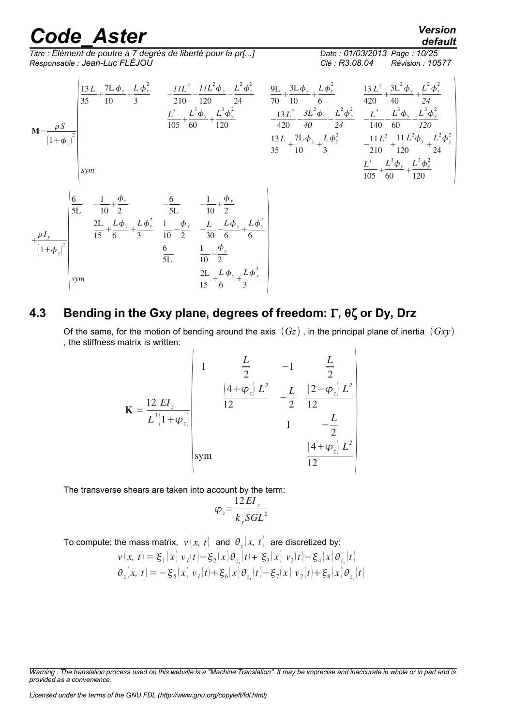*Titre : Élément de poutre à 7 degrés de liberté pour la pr[...] Date : 01/03/2013 Page : 10/25 Responsable : Jean-Luc FLÉJOU Clé : R3.08.04 Révision : 10577*



#### **4.3 Bending in the Gxy plane, degrees of freedom: , or Dy, Drz**

<span id="page-9-0"></span>Of the same, for the motion of bending around the axis  $(Gz)$ , in the principal plane of inertia  $(Gxy)$ , the stiffness matrix is written:

$$
\mathbf{K} = \frac{12 \ E I_z}{L^3 \left(1 + \varphi_z\right)} \begin{vmatrix} 1 & \frac{L}{2} & -1 & \frac{L}{2} \\ \frac{4 + \varphi_z}{2L^2} & -\frac{L}{2} & \frac{2 - \varphi_z}{2L^2} \\ 1 & 1 & -\frac{L}{2} \\ \text{sym} & \frac{4 + \varphi_z}{2L^2} \end{vmatrix}
$$

The transverse shears are taken into account by the term:

$$
\varphi_z = \frac{12EI_z}{k_ySGL^2}
$$

To compute: the mass matrix,  $\left| \nu \right\rangle (x,\ t)$  and  $\left| \theta_z(x,\ t) \right\rangle$  are discretized by:

$$
v(x, t) = \xi_1(x) v_1(t) - \xi_2(x) \theta_{z_1}(t) + \xi_3(x) v_2(t) - \xi_4(x) \theta_{z_2}(t)
$$
  

$$
\theta_z(x, t) = -\xi_5(x) v_1(t) + \xi_6(x) \theta_{z_1}(t) - \xi_7(x) v_2(t) + \xi_8(x) \theta_{z_2}(t)
$$

*Licensed under the terms of the GNU FDL (http://www.gnu.org/copyleft/fdl.html)*

*Warning : The translation process used on this website is a "Machine Translation". It may be imprecise and inaccurate in whole or in part and is provided as a convenience.*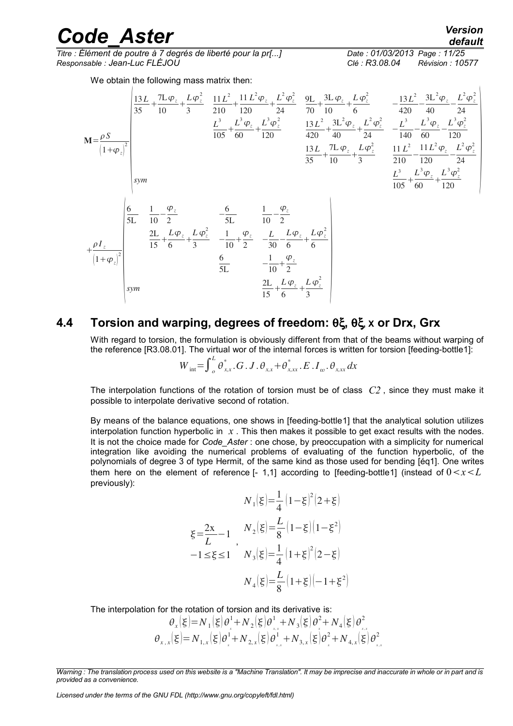*Titre : Élément de poutre à 7 degrés de liberté pour la pr[...] Date : 01/03/2013 Page : 11/25 Responsable : Jean-Luc FLÉJOU Clé : R3.08.04 Révision : 10577*

We obtain the following mass matrix then:

$$
M = \frac{\rho S}{\left(1+\varphi_z\right)^2}
$$
\n
$$
M = \frac{\rho S}{\left(1+\varphi_z\right)^2}
$$
\n
$$
M = \frac{\rho S}{\left(1+\varphi_z\right)^2}
$$
\n
$$
M = \frac{\rho S}{\left(1+\varphi_z\right)^2}
$$
\n
$$
M = \frac{\rho S}{\left(1+\varphi_z\right)^2}
$$
\n
$$
M = \frac{\rho S}{\left(1+\varphi_z\right)^2}
$$
\n
$$
M = \frac{\rho S}{\left(1+\varphi_z\right)^2}
$$
\n
$$
M = \frac{\rho S}{\left(1+\varphi_z\right)^2}
$$
\n
$$
M = \frac{\rho S}{\left(1+\varphi_z\right)^2}
$$
\n
$$
M = \frac{\rho S}{\left(1+\varphi_z\right)^2}
$$
\n
$$
M = \frac{\rho S}{\left(1+\varphi_z\right)^2}
$$
\n
$$
M = \frac{\rho S}{\left(1+\varphi_z\right)^2}
$$
\n
$$
M = \frac{\rho S}{\left(1+\varphi_z\right)^2}
$$
\n
$$
M = \frac{\rho S}{\left(1+\varphi_z\right)^2}
$$
\n
$$
M = \frac{\rho S}{\left(1+\varphi_z\right)^2}
$$
\n
$$
M = \frac{\rho S}{\left(1+\varphi_z\right)^2}
$$
\n
$$
M = \frac{\rho S}{\left(1+\varphi_z\right)^2}
$$
\n
$$
M = \frac{\rho S}{\left(1+\varphi_z\right)^2}
$$
\n
$$
M = \frac{\rho S}{\left(1+\varphi_z\right)^2}
$$
\n
$$
M = \frac{\rho S}{\left(1+\varphi_z\right)^2}
$$
\n
$$
M = \frac{\rho S}{\left(1+\varphi_z\right)^2}
$$
\n
$$
M = \frac{\rho S}{\left(1+\varphi_z\right)^2}
$$
\n
$$
M = \frac{\rho S}{\left(1+\varphi_z\right)^2}
$$
\n
$$
M = \frac{\rho S}{\left(1+\varphi_z\right)^2}
$$
\n
$$
M = \frac{\rho S}{\left(1+\varphi_z\right)^2}
$$
\n
$$
M = \frac{\rho S}{\
$$

#### **4.4 Torsion and warping, degrees of freedom: θξ, θξ, x or Drx, Grx**

<span id="page-10-0"></span>With regard to torsion, the formulation is obviously different from that of the beams without warping of the reference [R3.08.01]. The virtual wor of the internal forces is written for torsion [feeding-bottl[e1\]](#page-24-2):

$$
W_{\text{int}} = \int_{o}^{L} \theta_{x,x}^{*} \cdot G \cdot J \cdot \theta_{x,x} + \theta_{x,xx}^{*} \cdot E \cdot I_{\omega} \cdot \theta_{x,xx} dx
$$

The interpolation functions of the rotation of torsion must be of class *C2* , since they must make it possible to interpolate derivative second of rotation.

By means of the balance equations, one shows in [feeding-bottle[1\]](#page-24-2) that the analytical solution utilizes interpolation function hyperbolic in *x* . This then makes it possible to get exact results with the nodes. It is not the choice made for *Code* Aster : one chose, by preoccupation with a simplicity for numerical integration like avoiding the numerical problems of evaluating of the function hyperbolic, of the polynomials of degree 3 of type Hermit, of the same kind as those used for bending [é[q1\]](#page-8-1). One writes them here on the element of reference  $[-1,1]$  according to [feeding-bottl[e1\]](#page-24-2) (instead of  $0 < x < L$ previously):

$$
N_1(\xi) = \frac{1}{4} (1 - \xi)^2 (2 + \xi)
$$
  
\n
$$
\xi = \frac{2x}{L} - 1, \qquad N_2(\xi) = \frac{L}{8} (1 - \xi) (1 - \xi^2)
$$
  
\n
$$
-1 \le \xi \le 1, \qquad N_3(\xi) = \frac{1}{4} (1 + \xi)^2 (2 - \xi)
$$
  
\n
$$
N_4(\xi) = \frac{L}{8} (1 + \xi) (-1 + \xi^2)
$$

The interpolation for the rotation of torsion and its derivative is:

$$
\theta_x(\xi) = N_1(\xi)\theta_x^1 + N_2(\xi)\theta_{xx}^1 + N_3(\xi)\theta_x^2 + N_4(\xi)\theta_{xx}^2
$$
  

$$
\theta_{x,x}(\xi) = N_{1,x}(\xi)\theta_x^1 + N_{2,x}(\xi)\theta_{xx}^1 + N_{3,x}(\xi)\theta_x^2 + N_{4,x}(\xi)\theta_{xx}^2
$$

*Licensed under the terms of the GNU FDL (http://www.gnu.org/copyleft/fdl.html)*

*Warning : The translation process used on this website is a "Machine Translation". It may be imprecise and inaccurate in whole or in part and is provided as a convenience.*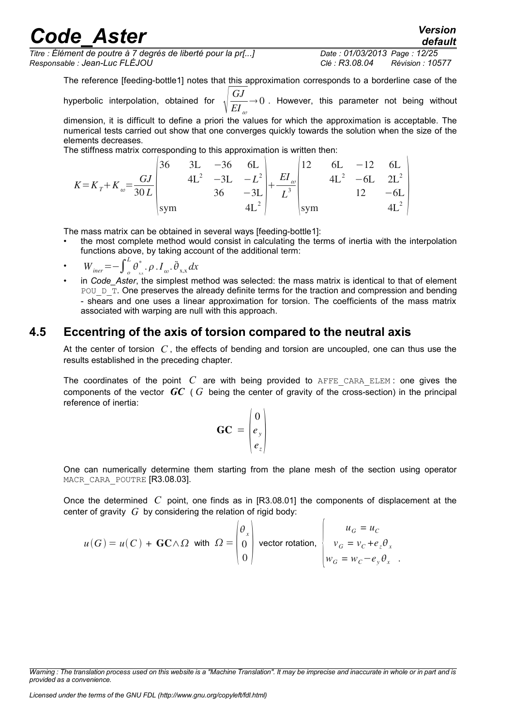*Titre : Élément de poutre à 7 degrés de liberté pour la pr[...] Date : 01/03/2013 Page : 12/25 Responsable : Jean-Luc FLÉJOU Clé : R3.08.04 Révision : 10577*

*default*

The reference [feeding-bottl[e1\]](#page-24-2) notes that this approximation corresponds to a borderline case of the

hyperbolic interpolation, obtained for *GJ*  $EI_{\omega}$  $\rightarrow$  0 . However, this parameter not being without

dimension, it is difficult to define a priori the values for which the approximation is acceptable. The numerical tests carried out show that one converges quickly towards the solution when the size of the elements decreases.

The stiffness matrix corresponding to this approximation is written then:

|                |             | 3L | $-36$        | 6L     |                |     |        | $-12$ | 6L                     |  |
|----------------|-------------|----|--------------|--------|----------------|-----|--------|-------|------------------------|--|
| $K = K_{\eta}$ |             |    | $4L^2$ $-3L$ | $-L^2$ | $\omega$       |     | $4L^2$ | $-6L$ | $\gamma$ $\Gamma$ $^2$ |  |
| $\omega$       |             |    |              |        | $\mathbf{r}$ . |     |        |       |                        |  |
|                | <i>s</i> ym |    |              |        |                | sym |        |       |                        |  |

The mass matrix can be obtained in several ways [feeding-bottl[e1\]](#page-24-2):

• the most complete method would consist in calculating the terms of inertia with the interpolation functions above, by taking account of the additional term:

• 
$$
W_{\text{iner}} = -\int_{o}^{L} \theta_{xx}^{*} \cdot \rho \cdot I_{\omega} \cdot \ddot{\theta}_{x,x} dx
$$

in *Code* Aster, the simplest method was selected: the mass matrix is identical to that of element POU  $D$  T. One preserves the already definite terms for the traction and compression and bending - shears and one uses a linear approximation for torsion. The coefficients of the mass matrix associated with warping are null with this approach.

#### **4.5 Eccentring of the axis of torsion compared to the neutral axis**

<span id="page-11-0"></span>At the center of torsion *C* , the effects of bending and torsion are uncoupled, one can thus use the results established in the preceding chapter.

The coordinates of the point  $C$  are with being provided to AFFE CARA ELEM : one gives the components of the vector *GC* ( *G* being the center of gravity of the cross-section) in the principal reference of inertia:  $\sqrt{ }$ 

$$
GC = \begin{pmatrix} 0 \\ e_y \\ e_z \end{pmatrix}
$$

One can numerically determine them starting from the plane mesh of the section using operator MACR CARA POUTRE [R3.08.03].

Once the determined *C* point, one finds as in [R3.08.01] the components of displacement at the center of gravity *G* by considering the relation of rigid body:

$$
u(G) = u(C) + \mathbf{G} \mathbf{C} \wedge \Omega \quad \text{with} \quad \Omega = \begin{pmatrix} \theta_x \\ 0 \\ 0 \end{pmatrix} \text{ vector rotation, } \begin{cases} u_G = u_C \\ v_G = v_C + e_z \theta_x \\ w_G = w_C - e_y \theta_x \end{cases}.
$$

*Warning : The translation process used on this website is a "Machine Translation". It may be imprecise and inaccurate in whole or in part and is provided as a convenience.*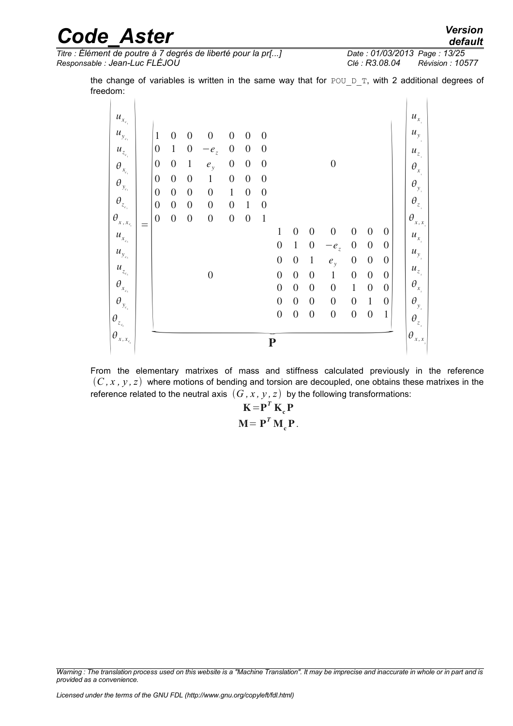*Titre : Élément de poutre à 7 degrés de liberté pour la pr[...] Date : 01/03/2013 Page : 13/25 Responsable : Jean-Luc FLÉJOU Clé : R3.08.04 Révision : 10577*

the change of variables is written in the same way that for POU  $D$  T, with 2 additional degrees of freedom:

|                                      |                                      |                                      |                                      |                                      |                                  |                                  | $\boldsymbol{0}$                   | $\boldsymbol{0}$                 | $\boldsymbol{0}$                     | $\boldsymbol{0}$                     | $\boldsymbol{0}$                 | $\boldsymbol{0}$                 | $\mathbf{1}$                         | $\theta_{\boldsymbol{y}_{_{\boldsymbol{2}}}}$<br>$\theta_{z_{\rm s}}$  |  |
|--------------------------------------|--------------------------------------|--------------------------------------|--------------------------------------|--------------------------------------|----------------------------------|----------------------------------|------------------------------------|----------------------------------|--------------------------------------|--------------------------------------|----------------------------------|----------------------------------|--------------------------------------|------------------------------------------------------------------------|--|
|                                      |                                      |                                      |                                      |                                      |                                  |                                  | $\overline{0}$<br>$\boldsymbol{0}$ | $\overline{0}$<br>$\overline{0}$ | $\boldsymbol{0}$<br>$\boldsymbol{0}$ | $\boldsymbol{0}$<br>$\boldsymbol{0}$ | $\mathbf{1}$<br>$\boldsymbol{0}$ | $\boldsymbol{0}$<br>$\mathbf{1}$ | $\boldsymbol{0}$<br>$\boldsymbol{0}$ | $\theta_{\scriptscriptstyle \boldsymbol x_{\scriptscriptstyle \!\!2}}$ |  |
|                                      |                                      |                                      | $\boldsymbol{0}$                     |                                      |                                  |                                  | $\boldsymbol{0}$                   | $\overline{0}$                   | $\boldsymbol{0}$                     | $\mathbf{1}$                         | $\boldsymbol{0}$                 | $\boldsymbol{0}$                 | $\boldsymbol{0}$                     | $u_{z_{i}}$                                                            |  |
|                                      |                                      |                                      |                                      |                                      |                                  |                                  | $\boldsymbol{0}$                   | $\boldsymbol{0}$                 | $\mathbf{1}$                         | $e_y$                                | $\boldsymbol{0}$                 | $\boldsymbol{0}$                 | $\boldsymbol{0}$                     | $u_{y_i}$                                                              |  |
|                                      |                                      |                                      |                                      |                                      |                                  |                                  | $\boldsymbol{0}$                   | $\mathbf{1}$                     | $\boldsymbol{0}$                     | $-e_{z}$                             | $\boldsymbol{0}$                 | $\boldsymbol{0}$                 | $\boldsymbol{0}$                     | $u_{x_{i}^{}}$                                                         |  |
| $=$                                  |                                      |                                      |                                      |                                      |                                  |                                  | 1                                  | $\overline{0}$                   | $\boldsymbol{0}$                     | $\boldsymbol{0}$                     | $\boldsymbol{0}$                 | $\overline{0}$                   | $\theta$                             | $(\theta_{x,x}]$                                                       |  |
| $\boldsymbol{0}$<br>$\boldsymbol{0}$ | $\boldsymbol{0}$<br>$\boldsymbol{0}$ | $\boldsymbol{0}$<br>$\boldsymbol{0}$ | $\boldsymbol{0}$<br>$\boldsymbol{0}$ | $\boldsymbol{0}$<br>$\boldsymbol{0}$ | $\mathbf{1}$<br>$\boldsymbol{0}$ | $\boldsymbol{0}$<br>$\mathbf{1}$ |                                    |                                  |                                      |                                      |                                  |                                  |                                      |                                                                        |  |
| $\boldsymbol{0}$                     | $\boldsymbol{0}$                     | $\boldsymbol{0}$                     | $\boldsymbol{0}$                     | $\mathbf{1}$                         | $\boldsymbol{0}$                 | $\boldsymbol{0}$                 |                                    |                                  |                                      |                                      |                                  |                                  |                                      | $\theta_{z_{\rm i}}$                                                   |  |
| $\boldsymbol{0}$                     | $\boldsymbol{0}$                     | $\boldsymbol{0}$                     | $\mathbf{1}$                         | $\boldsymbol{0}$                     | $\boldsymbol{0}$                 | $\boldsymbol{0}$                 |                                    |                                  |                                      |                                      |                                  |                                  |                                      | $\boldsymbol{\theta}_{\boldsymbol{y}_{_{\boldsymbol{1}}}}$             |  |
| $\boldsymbol{0}$                     | $\boldsymbol{0}$                     | $\mathbf{1}$                         | $e_y$                                | $\boldsymbol{0}$                     | $\boldsymbol{0}$                 | $\boldsymbol{0}$                 |                                    |                                  |                                      | $\boldsymbol{0}$                     |                                  |                                  |                                      | $\theta_{\scriptscriptstyle x}$                                        |  |
| $\boldsymbol{0}$                     | $\mathbf{1}$                         | $\boldsymbol{0}$                     | $-e_{z}$                             | $\boldsymbol{0}$                     | $\boldsymbol{0}$                 | $\theta$                         |                                    |                                  |                                      |                                      |                                  |                                  |                                      | $u_{z_i}$                                                              |  |
| $\mathbf{1}$                         | $\boldsymbol{0}$                     | $\overline{0}$                       | $\overline{0}$                       | $\overline{0}$                       | $\boldsymbol{0}$                 | $\boldsymbol{0}$                 |                                    |                                  |                                      |                                      |                                  |                                  |                                      | $u_y$                                                                  |  |

From the elementary matrixes of mass and stiffness calculated previously in the reference  $(C, x, y, z)$  where motions of bending and torsion are decoupled, one obtains these matrixes in the reference related to the neutral axis  $(G, x, y, z)$  by the following transformations:

> $\mathbf{K} = \mathbf{P}^T \mathbf{K}_{c} \mathbf{P}$  $\mathbf{M} = \mathbf{P}^T \mathbf{M}_c \mathbf{P}$ .

*Warning : The translation process used on this website is a "Machine Translation". It may be imprecise and inaccurate in whole or in part and is provided as a convenience.*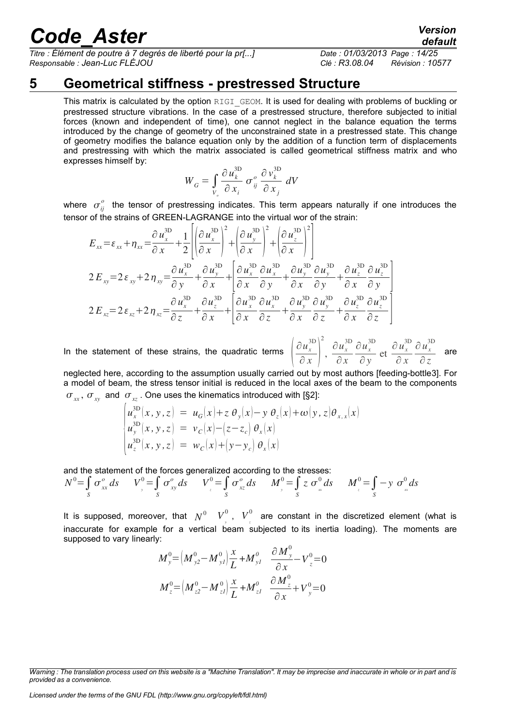*Titre : Élément de poutre à 7 degrés de liberté pour la pr[...] Date : 01/03/2013 Page : 14/25 Responsable : Jean-Luc FLÉJOU Clé : R3.08.04 Révision : 10577*

### **5 Geometrical stiffness - prestressed Structure**

<span id="page-13-0"></span>This matrix is calculated by the option RIGI GEOM. It is used for dealing with problems of buckling or prestressed structure vibrations. In the case of a prestressed structure, therefore subjected to initial forces (known and independent of time), one cannot neglect in the balance equation the terms introduced by the change of geometry of the unconstrained state in a prestressed state. This change of geometry modifies the balance equation only by the addition of a function term of displacements and prestressing with which the matrix associated is called geometrical stiffness matrix and who expresses himself by:

$$
W_G = \int_{V_o} \frac{\partial u_k^{\text{3D}}}{\partial x_i} \sigma_{ij}^o \frac{\partial v_k^{\text{3D}}}{\partial x_j} dV
$$

where  $\sigma_{ij}^o$  the tensor of prestressing indicates. This term appears naturally if one introduces the tensor of the strains of GREEN-LAGRANGE into the virtual wor of the strain:

$$
E_{xx} = \varepsilon_{xx} + \eta_{xx} = \frac{\partial u_x^{3D}}{\partial x} + \frac{1}{2} \left| \left( \frac{\partial u_x^{3D}}{\partial x} \right)^2 + \left( \frac{\partial u_y^{3D}}{\partial x} \right)^2 + \left( \frac{\partial u_z^{3D}}{\partial x} \right)^2 \right|
$$
  
\n
$$
2 E_{xy} = 2 \varepsilon_{xy} + 2 \eta_{xy} = \frac{\partial u_x^{3D}}{\partial y} + \frac{\partial u_y^{3D}}{\partial x} + \left[ \frac{\partial u_x^{3D}}{\partial x} \frac{\partial u_x^{3D}}{\partial y} + \frac{\partial u_y^{3D}}{\partial x} \frac{\partial u_y^{3D}}{\partial y} + \frac{\partial u_z^{3D}}{\partial x} \frac{\partial u_z^{3D}}{\partial y} \right]
$$
  
\n
$$
2 E_{xz} = 2 \varepsilon_{xz} + 2 \eta_{xz} = \frac{\partial u_x^{3D}}{\partial z} + \frac{\partial u_z^{3D}}{\partial x} + \left[ \frac{\partial u_x^{3D}}{\partial x} \frac{\partial u_x^{3D}}{\partial z} + \frac{\partial u_y^{3D}}{\partial x} \frac{\partial u_y^{3D}}{\partial z} + \frac{\partial u_z^{3D}}{\partial x} \frac{\partial u_z^{3D}}{\partial z} \right]
$$

In the statement of these strains, the quadratic terms

$$
\left(\frac{\partial u_x^{\text{3D}}}{\partial x}\right)^2, \frac{\partial u_x^{\text{3D}}}{\partial x} \frac{\partial u_x^{\text{3D}}}{\partial y} \text{ et } \frac{\partial u_x^{\text{3D}}}{\partial x} \frac{\partial u_x^{\text{3D}}}{\partial z} \text{ are}
$$

neglected here, according to the assumption usually carried out by most authors [feeding-bottl[e3\]](#page-24-3). For a model of beam, the stress tensor initial is reduced in the local axes of the beam to the components  $\sigma_{xx}$ ,  $\sigma_{xy}$  and  $\sigma_{xz}$ . One uses the kinematics introduced with [§2]:

$$
\begin{cases}\nu_x^{\text{3D}}(x, y, z) = u_G(x) + z \theta_y(x) - y \theta_z(x) + \omega(y, z) \theta_{x, x}(x) \\
u_y^{\text{3D}}(x, y, z) = v_C(x) - (z - z_c) \theta_x(x) \\
u_z^{\text{3D}}(x, y, z) = w_C(x) + (y - y_c) \theta_x(x)\n\end{cases}
$$

and the statement of the forces generalized according to the stresses:

$$
N^0 = \int_S \sigma_{xx}^0 ds \qquad V_y^0 = \int_S \sigma_{xy}^0 ds \qquad V_y^0 = \int_S \sigma_{xz}^0 ds \qquad M_y^0 = \int_S z \sigma_{xx}^0 ds \qquad M_z^0 = \int_S -y \sigma_{xx}^0 ds
$$

It is supposed, moreover, that  $N^0$   $V^0_{\frac{1}{y}}$ ,  $V^0_{\frac{1}{z}}$  are constant in the discretized element (what is inaccurate for example for a vertical beam subjected to its inertia loading). The moments are supposed to vary linearly:

$$
M_{y}^{0} = (M_{y2}^{0} - M_{y1}^{0})\frac{x}{L} + M_{y1}^{0} \frac{\partial M_{y}^{0}}{\partial x} - V_{z}^{0} = 0
$$
  

$$
M_{z}^{0} = (M_{z2}^{0} - M_{z1}^{0})\frac{x}{L} + M_{z1}^{0} \frac{\partial M_{z}^{0}}{\partial x} + V_{y}^{0} = 0
$$

*Licensed under the terms of the GNU FDL (http://www.gnu.org/copyleft/fdl.html)*

*default*

*Warning : The translation process used on this website is a "Machine Translation". It may be imprecise and inaccurate in whole or in part and is provided as a convenience.*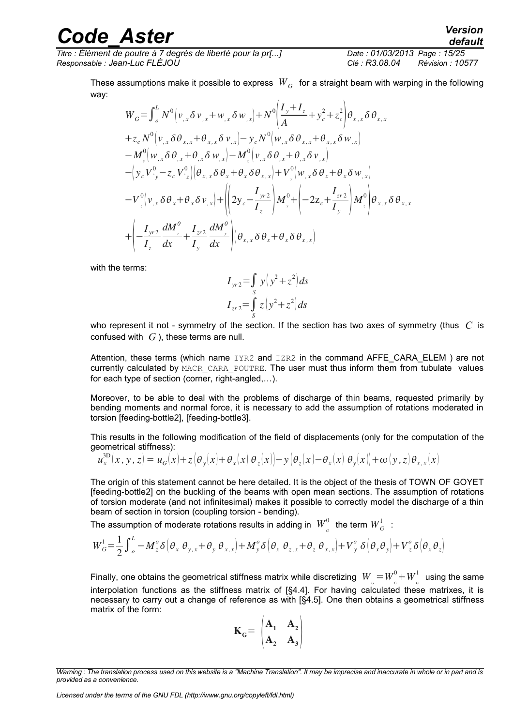way:

*Titre : Élément de poutre à 7 degrés de liberté pour la pr[...] Date : 01/03/2013 Page : 15/25 Responsable : Jean-Luc FLÉJOU Clé : R3.08.04 Révision : 10577*

These assumptions make it possible to express  $\;W_{\overline{G}}\;$  for a straight beam with warping in the following

$$
W_{G} = \int_{0}^{L} N^{0} (v_{,x} \delta v_{,x} + w_{,x} \delta w_{,x}) + N^{0} \left( \frac{I_{y} + I_{z}}{A} + y_{c}^{2} + z_{c}^{2} \right) \theta_{x,x} \delta \theta_{x,x} + z_{c} N^{0} (v_{,x} \delta \theta_{x,x} + \theta_{x,x} \delta v_{,x}) - y_{c} N^{0} (w_{,x} \delta \theta_{x,x} + \theta_{x,x} \delta w_{,x}) - M^{0} (w_{,x} \delta \theta_{,x} + \theta_{,x} \delta w_{,x}) - M^{0} (v_{,x} \delta \theta_{,x} + \theta_{,x} \delta v_{,x}) - \left( y_{c} V^{0}_{y} - z_{c} V^{0}_{z} \right) \left( \theta_{x,x} \delta \theta_{x} + \theta_{x} \delta \theta_{x,x} \right) + V^{0} (w_{,x} \delta \theta_{x} + \theta_{x} \delta w_{,x}) - V^{0} (v_{,x} \delta \theta_{x} + \theta_{x} \delta v_{,x}) + \left( \left( 2y_{c} - \frac{I_{y}r^{2}}{I_{z}} \right) M^{0}_{y} + \left( -2z_{c} + \frac{I_{z}r^{2}}{I_{y}} \right) M^{0}_{z} \right) \theta_{x,x} \delta \theta_{x,x} + \left( -\frac{I_{y}r^{2}}{I_{z}} \frac{dM^{0}_{y}}{dx} + \frac{I_{z}r^{2}}{I_{y}} \frac{dM^{0}_{y}}{dx} \right) \left( \theta_{x,x} \delta \theta_{x} + \theta_{x} \delta \theta_{x,x} \right)
$$

with the terms:

$$
I_{yr2} = \int_{S} y (y^2 + z^2) ds
$$
  
\n
$$
I_{zr2} = \int_{S} z (y^2 + z^2) ds
$$

who represent it not - symmetry of the section. If the section has two axes of symmetry (thus *C* is confused with *G* ), these terms are null.

Attention, these terms (which name  $IYR2$  and  $IZR2$  in the command AFFE CARA ELEM ) are not currently calculated by MACR\_CARA\_POUTRE. The user must thus inform them from tubulate values for each type of section (corner, right-angled,…).

Moreover, to be able to deal with the problems of discharge of thin beams, requested primarily by bending moments and normal force, it is necessary to add the assumption of rotations moderated in torsion [feeding-bottl[e2\]](#page-24-4), [feeding-bottl[e3\]](#page-24-3).

This results in the following modification of the field of displacements (only for the computation of the geometrical stiffness):

$$
u_x^{\text{3D}}(x, y, z) = u_G(x) + z \left(\theta_y(x) + \theta_x(x)\theta_z(x)\right) - y \left(\theta_z(x) - \theta_x(x)\theta_y(x)\right) + \omega(y, z)\theta_{x, x}(x)
$$

The origin of this statement cannot be here detailed. It is the object of the thesis of TOWN OF GOYET [feeding-bottl[e2\]](#page-24-4) on the buckling of the beams with open mean sections. The assumption of rotations of torsion moderate (and not infinitesimal) makes it possible to correctly model the discharge of a thin beam of section in torsion (coupling torsion - bending).

The assumption of moderate rotations results in adding in  $\ \boldsymbol{W}^0_{_{G}}\ \ \text{the term}\ \boldsymbol{W}^1_{G}\ \ \text{:}$ 

$$
W_G^1 = \frac{1}{2} \int_{0}^{L} -M_z^{\circ} \delta \left(\theta_x \, \theta_{y,x} + \theta_y \, \theta_{x,x}\right) + M_y^{\circ} \delta \left(\theta_x \, \theta_{z,x} + \theta_z \, \theta_{x,x}\right) + V_y^{\circ} \delta \left(\theta_x \theta_y\right) + V_z^{\circ} \delta \left(\theta_x \theta_z\right)
$$

Finally, one obtains the geometrical stiffness matrix while discretizing  $\;W_{_{G}}\!=\!W_{_{G}}^0\!+\!W_{_{G}}^1\;$  using the same interpolation functions as the stiffness matrix of [§4.4]. For having calculated these matrixes, it is necessary to carry out a change of reference as with [§4.5]. One then obtains a geometrical stiffness matrix of the form:

$$
\mathbf{K}_{\mathbf{G}} = \begin{pmatrix} \mathbf{A}_1 & \mathbf{A}_2 \\ \mathbf{A}_2 & \mathbf{A}_3 \end{pmatrix}
$$

*Warning : The translation process used on this website is a "Machine Translation". It may be imprecise and inaccurate in whole or in part and is provided as a convenience.*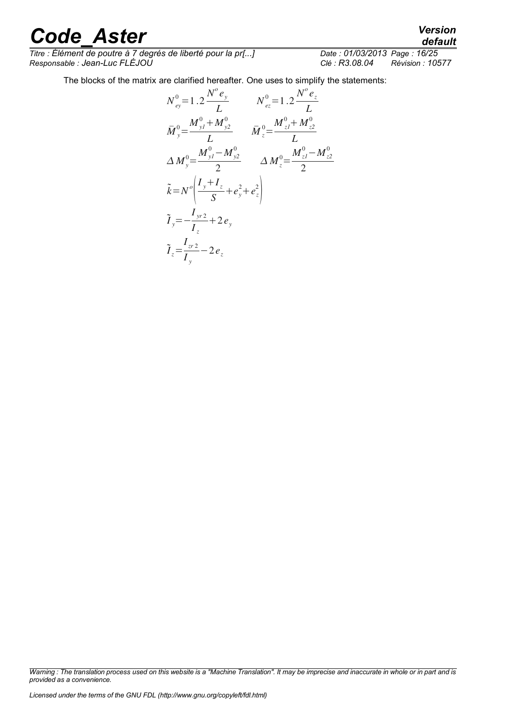*Titre : Élément de poutre à 7 degrés de liberté pour la pr[...] Date : 01/03/2013 Page : 16/25 Responsable : Jean-Luc FLÉJOU Clé : R3.08.04 Révision : 10577*

The blocks of the matrix are clarified hereafter. One uses to simplify the statements:

$$
N_{ey}^{0} = 1.2 \frac{N^{o} e_{y}}{L} \qquad N_{ez}^{0} = 1.2 \frac{N^{o} e_{z}}{L}
$$
  
\n
$$
\bar{M}_{y}^{0} = \frac{M_{y1}^{0} + M_{y2}^{0}}{L} \qquad \bar{M}_{z}^{0} = \frac{M_{z1}^{0} + M_{z2}^{0}}{L}
$$
  
\n
$$
\Delta M_{y}^{0} = \frac{M_{y1}^{0} - M_{y2}^{0}}{2} \qquad \Delta M_{z}^{0} = \frac{M_{z1}^{0} - M_{z2}^{0}}{2}
$$
  
\n
$$
\tilde{k} = N^{o} \left( \frac{I_{y} + I_{z}}{S} + e_{y}^{2} + e_{z}^{2} \right)
$$
  
\n
$$
\tilde{I}_{y} = -\frac{I_{yr2}}{I_{z}} + 2 e_{y}
$$
  
\n
$$
\tilde{I}_{z} = \frac{I_{zr2}}{I_{y}} - 2 e_{z}
$$

*Warning : The translation process used on this website is a "Machine Translation". It may be imprecise and inaccurate in whole or in part and is provided as a convenience.*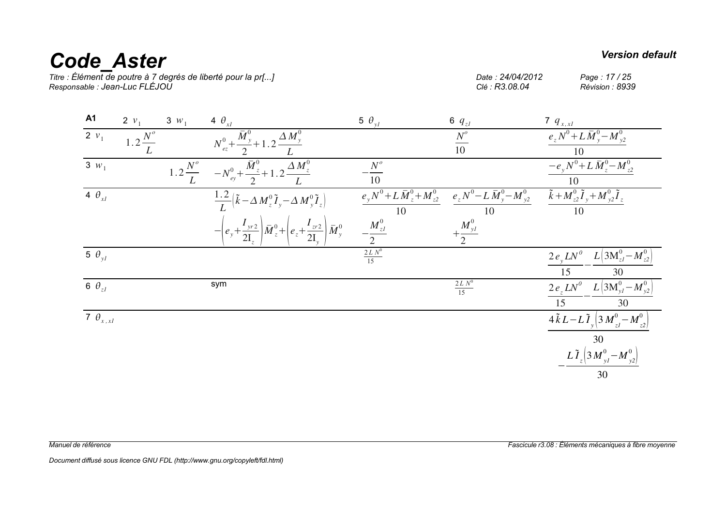# *Code\_Aster Version default*<br>
Titre : Élément de poutre à 7 degrés de liberté pour la pr[...]<br> *Code* : 24/04/2012 Page : 17/25

*Titre : Élément de poutre à 7 degrés de liberté pour la pr[...] Date : 24/04/2012 Page : 17 / 25 Responsable : Jean-Luc FLÉJOU Clé : R3.08.04 Révision : 8939*

| <b>A1</b>                    | 2 $v_1$               | $3 w_1$              | 4 $\theta_{x}$                                                                                                       | 5 $\theta_{vl}$                            | 6 $q_{zI}$                                 | 7 $q_{x, x}$                                                                               |
|------------------------------|-----------------------|----------------------|----------------------------------------------------------------------------------------------------------------------|--------------------------------------------|--------------------------------------------|--------------------------------------------------------------------------------------------|
| 2 $v_1$                      | $1.2 \frac{N^{o}}{N}$ |                      | $N_{ez}^{0} + \frac{\overline{M}_{y}^{0}}{2} + 1.2 \frac{\Delta M_{y}^{0}}{2}$                                       |                                            | $\frac{N^o}{10}$                           | $e_z N^0 + L \bar{M}_y^0 - M_{y2}^0$                                                       |
| $3 w_1$                      |                       | $1.2\frac{N^{o}}{I}$ | $-\frac{\bar{M}_{z}^{0}}{4}+1.2\frac{\Delta M_{z}^{0}}{4}$<br>$-N_{ey}^0$ + -                                        | $N^o$<br>10                                |                                            | $-e_y N^0 + L \bar{M}_z^0 - M_{z2}^0$<br>10                                                |
| $\overline{4}$ $\theta_{xI}$ |                       |                      | $\frac{1.2}{I} (\tilde{k} - \Delta M_z^0 \tilde{I}_y - \Delta M_y^0 \tilde{I}_z)$                                    | $e_y N^0 + L \bar{M}_z^0 + M_{z2}^0$<br>10 | $e_z N^0 - L \bar{M}_y^0 - M_{y2}^0$<br>10 | $\widetilde{k}+M_{z2}^0\widetilde{I}_y+M_{y2}^0\widetilde{I}_z$<br>10                      |
|                              |                       |                      | $-\left(e_y + \frac{I_{yr2}}{2I}\right) \bar{M}_{z}^{0} + \left(e_z + \frac{I_{zr2}}{2I_{z}}\right) \bar{M}_{y}^{0}$ | $-\frac{M_{zI}^{0}}{2}$                    | $+\frac{M_{yI}^0}{2}$                      |                                                                                            |
| 5 $\theta_{yI}$              |                       |                      |                                                                                                                      | $\frac{2 L N^0}{15}$                       |                                            | $L\left(3{\rm M}_{zI}^{0}-M_{z2}^{0}\right)$<br>$2e_{y}LN^{\theta}$<br>30                  |
| 6 $\theta_{zI}$              |                       |                      | sym                                                                                                                  |                                            | $\frac{2 L N^0}{15}$                       | $2e_zLN^0$ $L(3M_{yI}^0-M_{y2}^0)$<br>15<br>30                                             |
| 7 $\theta_{x, x}$            |                       |                      |                                                                                                                      |                                            |                                            | $\overline{4\,\tilde{k}\,L\!-\!L\,\tilde{I}_{v}\left 3\,M_{zI}^{0}\!-\!M_{z2}^{0}\right }$ |
|                              |                       |                      |                                                                                                                      |                                            |                                            | 30<br>$L \tilde{I}_{z} \Big( 3 M_{yI}^{0} - M_{y2}^{0} \Big)$                              |
|                              |                       |                      |                                                                                                                      |                                            |                                            | 30                                                                                         |

*Document diffusé sous licence GNU FDL (http://www.gnu.org/copyleft/fdl.html)*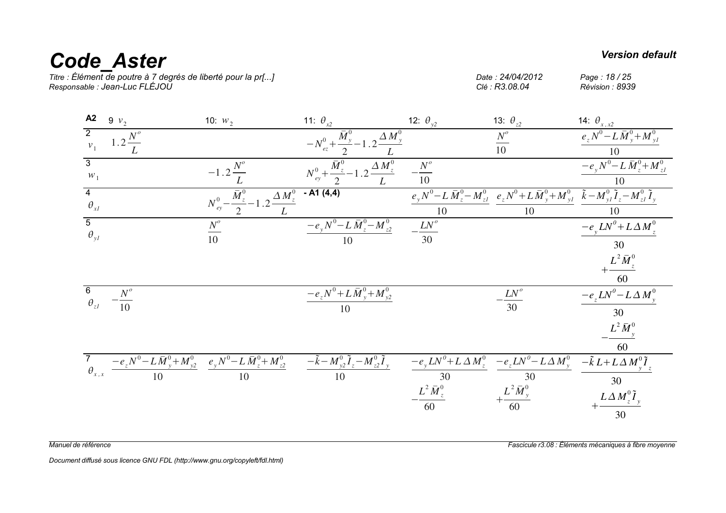# *Code\_Aster Version default*

*Titre : Élément de poutre à 7 degrés de liberté pour la pr[...] Date : 24/04/2012 Page : 18 / 25 Responsable : Jean-Luc FLÉJOU Clé : R3.08.04 Révision : 8939*

| 9 $v_2$                                                       | 10: $w_2$             | 11: $\theta_{x2}$                                        | 12: $\theta_{y2}$                                                                                                                                                                                                                                                     | 13: $\theta_{z2}$                                                                                                                                                                                        | 14: $\theta_{x,x2}$                                                                                                                                                                                                                                                                                                                                                                                          |
|---------------------------------------------------------------|-----------------------|----------------------------------------------------------|-----------------------------------------------------------------------------------------------------------------------------------------------------------------------------------------------------------------------------------------------------------------------|----------------------------------------------------------------------------------------------------------------------------------------------------------------------------------------------------------|--------------------------------------------------------------------------------------------------------------------------------------------------------------------------------------------------------------------------------------------------------------------------------------------------------------------------------------------------------------------------------------------------------------|
| $1.2\frac{N^{o}}{I}$                                          |                       |                                                          |                                                                                                                                                                                                                                                                       | $\frac{N^o}{10}$                                                                                                                                                                                         | $e_z N^0 - L \bar{M}_y^0 + M_{yI}^0$<br>10                                                                                                                                                                                                                                                                                                                                                                   |
|                                                               | $-1.2\frac{N^{c}}{N}$ |                                                          |                                                                                                                                                                                                                                                                       |                                                                                                                                                                                                          | $-e_yN^0 - L\bar{M}_{z}^0 + M_{zI}^0$<br>10                                                                                                                                                                                                                                                                                                                                                                  |
|                                                               |                       | $- A1 (4,4)$                                             | 10                                                                                                                                                                                                                                                                    | 10                                                                                                                                                                                                       | 10                                                                                                                                                                                                                                                                                                                                                                                                           |
|                                                               | $\frac{N^o}{10}$      | 10                                                       | $\frac{LN^o}{30}$                                                                                                                                                                                                                                                     |                                                                                                                                                                                                          | $-e_yLN^0+L\Delta M_z^0$<br>30                                                                                                                                                                                                                                                                                                                                                                               |
|                                                               |                       |                                                          |                                                                                                                                                                                                                                                                       |                                                                                                                                                                                                          | $+\frac{L^2\bar{M}_{z}^0}{60}$                                                                                                                                                                                                                                                                                                                                                                               |
| $\overline{\mathbf{6}}$<br>$\theta_{zI}$<br>$-\frac{N^o}{10}$ |                       | $\frac{-e_z N^0 + L\,\overline{M}^0_{y} + M^0_{y2}}{10}$ |                                                                                                                                                                                                                                                                       | $-\frac{LN^o}{30}$                                                                                                                                                                                       | $-e_zLN^0 - L\Delta M_v^0$<br>30                                                                                                                                                                                                                                                                                                                                                                             |
|                                                               |                       |                                                          |                                                                                                                                                                                                                                                                       |                                                                                                                                                                                                          | $L^2 \bar{M}_{y}^0$<br>60                                                                                                                                                                                                                                                                                                                                                                                    |
|                                                               |                       |                                                          |                                                                                                                                                                                                                                                                       |                                                                                                                                                                                                          |                                                                                                                                                                                                                                                                                                                                                                                                              |
|                                                               |                       |                                                          |                                                                                                                                                                                                                                                                       |                                                                                                                                                                                                          | 30                                                                                                                                                                                                                                                                                                                                                                                                           |
|                                                               |                       |                                                          | $N_{ey}^0 - \frac{\overline{M}_{z}^0}{2} - 1.2 \frac{\Delta M_{z}^0}{2}$<br>$\frac{7}{\theta_{x,x}} \frac{-e_z N^0 - L \bar{M}_y^0 + M_{y2}^0}{10} \frac{e_y N^0 - L \bar{M}_z^0 + M_{z2}^0}{10} \frac{-\tilde{k} - M_{y2}^0 \tilde{I}_z - M_{z2}^0 \tilde{I}_y}{10}$ | $-N_{ez}^{0}+\frac{\bar{M}_{y}^{0}}{2}-1.2\frac{\Delta M_{y}^{0}}{L}$<br>$N_{ey}^{0} + \frac{M_{z}^{0}}{2} - 1.2 \frac{\Delta M_{z}^{0}}{L}$<br>$-\frac{N^o}{10}$<br>$-e_yN^0-L\,\bar{M}_{z}^0-M_{z2}^0$ | $\overline{e_y}N^0 - L\,\overline{M}_{z}^0 - M_{zI}^0$ $\overline{e_z}N^0 + L\,\overline{M}_{y}^0 + M_{yI}^0$ $\tilde{k} - M_{yI}^0\,\tilde{l}_z - M_{zI}^0\,\tilde{l}_y$<br>$\frac{-e_y L N^0 + L \Delta M_z^0}{30} \frac{-e_z L N^0 - L \Delta M_y^0}{30} \frac{-\tilde{k} L + L \Delta M_y^0 \tilde{I}_z}{30}$<br>- $\frac{L^2 M_z^0}{60} + \frac{L^2 M_y^0}{60} + \frac{L \Delta M_z^0 \tilde{I}_y}{30}$ |

*Manuel de référence Fascicule r3.08 : Éléments mécaniques à fibre moyenne*

*Document diffusé sous licence GNU FDL (http://www.gnu.org/copyleft/fdl.html)*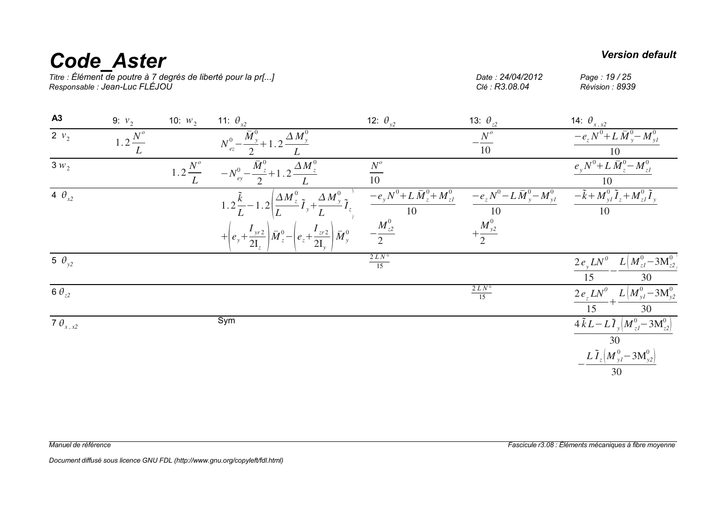# **Code\_Aster** *Version default*<br>Titre : Élément de poutre à 7 degrés de liberté pour la pr[...] Date : 24/04/2012 Page : 19/25

*Titre : Élément de poutre à 7 degrés de liberté pour la pr[...] Date : 24/04/2012 Page : 19 / 25 Responsable : Jean-Luc FLÉJOU Clé : R3.08.04 Révision : 8939*

| A3                   | 9: $v_2$             | 10: $W_2$          | 11: $\theta_{x2}$                                                                                                                | 12: $\theta_{y2}$                           | 13: $\theta_{z2}$                           | 14: $\theta_{x,x2}$                                                      |
|----------------------|----------------------|--------------------|----------------------------------------------------------------------------------------------------------------------------------|---------------------------------------------|---------------------------------------------|--------------------------------------------------------------------------|
| $\overline{2 \nu_2}$ | $1.2\frac{N^{o}}{1}$ |                    | $N_{ez}^{0} - \frac{\overline{M}_{y}^{0}}{2} + 1.2 \frac{\Delta M_{y}^{0}}{2}$                                                   |                                             | $-\frac{N^o}{10}$                           | $-e_z N^0 + L \bar{M}_{y}^0 - M_{yI}^0$<br>10                            |
| $3 w_2$              |                      | $1.2\frac{N^o}{L}$ | $-N_{u}^{0} - \frac{\bar{M}_{z}^{0}}{2} + 1.2 \frac{\Delta M_{z}^{0}}{2}$                                                        | $N^{\circ}$<br>10                           |                                             | $e_y N^0 + L \bar{M}_z^0 - M_{zI}^0$                                     |
| 4 $\theta_{x2}$      |                      |                    | 1.2 $\frac{\tilde{k}}{L}$ – 1.2 $\left(\frac{\Delta M_{z}^{0}}{L}\tilde{I}_{y} + \frac{\Delta M_{y}^{0}}{L}\tilde{I}_{z}\right)$ | $-e_y N^0 + L \bar{M}_z^0 + M_{zI}^0$<br>10 | $-e_z N^0 - L \bar{M}_y^0 - M_{yI}^0$<br>10 | $-\tilde{k} + M_{yI}^{0} \tilde{I}_{z} + M_{zI}^{0} \tilde{I}_{y}$<br>10 |
|                      |                      |                    | $+\left(e_y+\frac{I_{yr2}}{2I}\right)\bar{M}_{z}^{0}-\left(e_z+\frac{I_{zr2}}{2I_{\cdots}}\right)\bar{M}_{y}^{0}$                | $-\frac{M_{z2}^0}{2}$                       | $+\frac{M_{y2}^0}{2}$                       |                                                                          |
| 5 $\theta_{v2}$      |                      |                    |                                                                                                                                  | $\frac{2 L N^{\circ}}{15}$                  |                                             | $2 e_y L N^0$ $L (M_{zI}^0 - 3 M_{z2}^0)$<br>30                          |
| 6 $\theta_{z2}$      |                      |                    |                                                                                                                                  |                                             | $\frac{2 L N^{\circ}}{15}$                  | $2e_zLN^0 + L(M_{yI}^0 - 3M_{y2}^0)$<br>15<br>30                         |
| 7 $\theta_{x,x2}$    |                      |                    | Sym                                                                                                                              |                                             |                                             | $4\tilde{k}L-L\tilde{T}_{y}\left(M_{zI}^{0}-3M_{z2}^{0}\right)$<br>30    |
|                      |                      |                    |                                                                                                                                  |                                             |                                             | $L \tilde{I}_z \Big[ M_{yI}^0 - 3 M_{y2}^0 \Big]$<br>30                  |

*Manuel de référence Fascicule r3.08 : Éléments mécaniques à fibre moyenne*

*Document diffusé sous licence GNU FDL (http://www.gnu.org/copyleft/fdl.html)*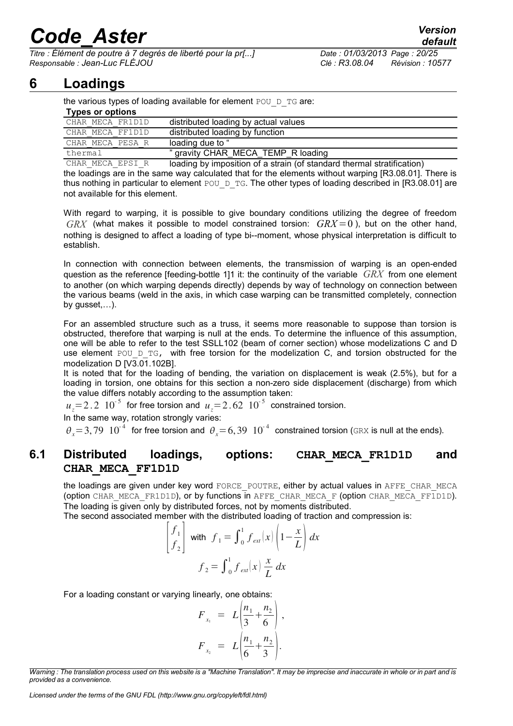*Titre : Élément de poutre à 7 degrés de liberté pour la pr[...] Date : 01/03/2013 Page : 20/25 Responsable : Jean-Luc FLÉJOU Clé : R3.08.04 Révision : 10577*

### **6 Loadings**

<span id="page-19-1"></span>

| the various types of loading available for element POU D TG are: |                                                                                                             |  |  |  |  |  |  |  |  |
|------------------------------------------------------------------|-------------------------------------------------------------------------------------------------------------|--|--|--|--|--|--|--|--|
| <b>Types or options</b>                                          |                                                                                                             |  |  |  |  |  |  |  |  |
| CHAR MECA FR1D1D                                                 | distributed loading by actual values                                                                        |  |  |  |  |  |  |  |  |
| CHAR MECA FF1D1D                                                 | distributed loading by function                                                                             |  |  |  |  |  |  |  |  |
| CHAR MECA PESA R                                                 | loading due to "                                                                                            |  |  |  |  |  |  |  |  |
| " gravity CHAR MECA TEMP R loading<br>thermal                    |                                                                                                             |  |  |  |  |  |  |  |  |
| $\alpha$                                                         | للمستلوم تكتابهما والمستوصل المستواد وسامته أأروان وبتحويلها والمراود والمستحدث والمستاد والمستراد والمستوا |  |  |  |  |  |  |  |  |

CHAR\_MECA\_EPSI\_R loading by imposition of a strain (of standard thermal stratification) the loadings are in the same way calculated that for the elements without warping [R3.08.01]. There is thus nothing in particular to element POU\_D\_TG. The other types of loading described in [R3.08.01] are not available for this element.

With regard to warping, it is possible to give boundary conditions utilizing the degree of freedom  $GRX$  (what makes it possible to model constrained torsion:  $GRX = 0$ ), but on the other hand, nothing is designed to affect a loading of type bi--moment, whose physical interpretation is difficult to establish.

In connection with connection between elements, the transmission of warping is an open-ended question as the reference [feeding-bottle 1[\]1](#page-24-2) it: the continuity of the variable *GRX* from one element to another (on which warping depends directly) depends by way of technology on connection between the various beams (weld in the axis, in which case warping can be transmitted completely, connection by gusset,…).

For an assembled structure such as a truss, it seems more reasonable to suppose than torsion is obstructed, therefore that warping is null at the ends. To determine the influence of this assumption, one will be able to refer to the test SSLL102 (beam of corner section) whose modelizations C and D use element POU D TG, with free torsion for the modelization C, and torsion obstructed for the modelization D  $[V\overline{3}.0\overline{1}.102B]$ .

It is noted that for the loading of bending, the variation on displacement is weak (2.5%), but for a loading in torsion, one obtains for this section a non-zero side displacement (discharge) from which the value differs notably according to the assumption taken:

 $u_z = 2.2 \cdot 10^{-5}$  for free torsion and  $u_z = 2.62 \cdot 10^{-5}$  constrained torsion.

In the same way, rotation strongly varies:

<span id="page-19-0"></span> $\theta_x = 3,79 \; 10^{-4}$  for free torsion and  $\theta_x = 6,39 \; 10^{-4}$  constrained torsion (GRX is null at the ends).

#### **6.1 Distributed loadings, options: CHAR\_MECA\_FR1D1D and CHAR\_MECA\_FF1D1D**

the loadings are given under key word FORCE\_POUTRE, either by actual values in AFFE\_CHAR\_MECA (option CHAR\_MECA\_FR1D1D), or by functions in AFFE\_CHAR\_MECA\_F (option CHAR\_MECA\_FF1D1D). The loading is given only by distributed forces, not by moments distributed.

The second associated member with the distributed loading of traction and compression is:

$$
\begin{bmatrix} f_1 \\ f_2 \end{bmatrix} \text{ with } f_1 = \int_0^1 f_{ext}(x) \left( 1 - \frac{x}{L} \right) dx
$$

$$
f_2 = \int_0^1 f_{ext}(x) \frac{x}{L} dx
$$

For a loading constant or varying linearly, one obtains:

$$
F_{x_1} = L\left(\frac{n_1}{3} + \frac{n_2}{6}\right),
$$
  

$$
F_{x_2} = L\left(\frac{n_1}{6} + \frac{n_2}{3}\right).
$$

*Warning : The translation process used on this website is a "Machine Translation". It may be imprecise and inaccurate in whole or in part and is provided as a convenience.*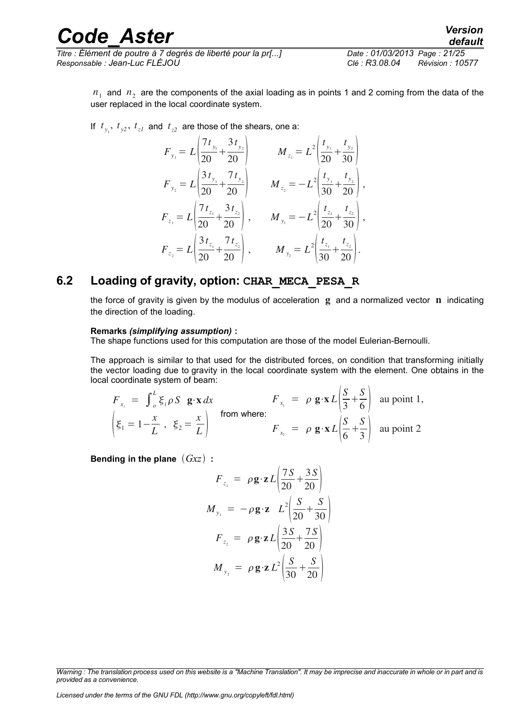*Titre : Élément de poutre à 7 degrés de liberté pour la pr[...] Date : 01/03/2013 Page : 21/25 Responsable : Jean-Luc FLÉJOU Clé : R3.08.04 Révision : 10577*

 $n_1$  and  $n_2$  are the components of the axial loading as in points 1 and 2 coming from the data of the user replaced in the local coordinate system.

If  $t_{y_1}$ ,  $t_{y_2}$ ,  $t_{zI}$  and  $t_{z2}$  are those of the shears, one a:

$$
F_{y_1} = L \left( \frac{7t_{y_1}}{20} + \frac{3t_{y_2}}{20} \right) \qquad M_{z_1} = L^2 \left( \frac{t_{y_1}}{20} + \frac{t_{y_2}}{30} \right)
$$
  
\n
$$
F_{y_2} = L \left( \frac{3t_{y_1}}{20} + \frac{7t_{y_2}}{20} \right) \qquad M_{z_2} = -L^2 \left( \frac{t_{y_1}}{30} + \frac{t_{y_2}}{20} \right),
$$
  
\n
$$
F_{z_1} = L \left( \frac{7t_{z_1}}{20} + \frac{3t_{z_2}}{20} \right), \qquad M_{y_1} = -L^2 \left( \frac{t_{z_1}}{20} + \frac{t_{z_2}}{30} \right),
$$
  
\n
$$
F_{z_2} = L \left( \frac{3t_{z_1}}{20} + \frac{7t_{z_2}}{20} \right), \qquad M_{y_2} = L^2 \left( \frac{t_{z_1}}{30} + \frac{t_{z_2}}{20} \right).
$$

#### **6.2 Loading of gravity, option: CHAR\_MECA\_PESA\_R**

<span id="page-20-0"></span>the force of gravity is given by the modulus of acceleration  $g$  and a normalized vector  $n$  indicating the direction of the loading.

#### **Remarks** *(simplifying assumption)* **:**

The shape functions used for this computation are those of the model Eulerian-Bernoulli.

The approach is similar to that used for the distributed forces, on condition that transforming initially the vector loading due to gravity in the local coordinate system with the element. One obtains in the local coordinate system of beam:

$$
F_{x_i} = \int_{\rho}^{L} \xi_i \rho S \mathbf{g} \cdot \mathbf{x} dx \qquad F_{x_i} = \rho \mathbf{g} \cdot \mathbf{x} L \left| \frac{S}{3} + \frac{S}{6} \right| \text{ au point 1,}
$$
  

$$
\left| \xi_1 = 1 - \frac{x}{L}, \xi_2 = \frac{x}{L} \right| \qquad \text{from where:}
$$
  

$$
F_{x_2} = \rho \mathbf{g} \cdot \mathbf{x} L \left| \frac{S}{6} + \frac{S}{3} \right| \text{ au point 2}
$$

**Bending in the plane** *Gxz* **:**

$$
F_{z_1} = \rho \mathbf{g} \cdot \mathbf{z} L \left( \frac{7S}{20} + \frac{3S}{20} \right)
$$
  

$$
M_{y_1} = -\rho \mathbf{g} \cdot \mathbf{z} L^2 \left( \frac{S}{20} + \frac{S}{30} \right)
$$
  

$$
F_{z_2} = \rho \mathbf{g} \cdot \mathbf{z} L \left( \frac{3S}{20} + \frac{7S}{20} \right)
$$
  

$$
M_{y_2} = \rho \mathbf{g} \cdot \mathbf{z} L^2 \left( \frac{S}{30} + \frac{S}{20} \right)
$$

*Warning : The translation process used on this website is a "Machine Translation". It may be imprecise and inaccurate in whole or in part and is provided as a convenience.*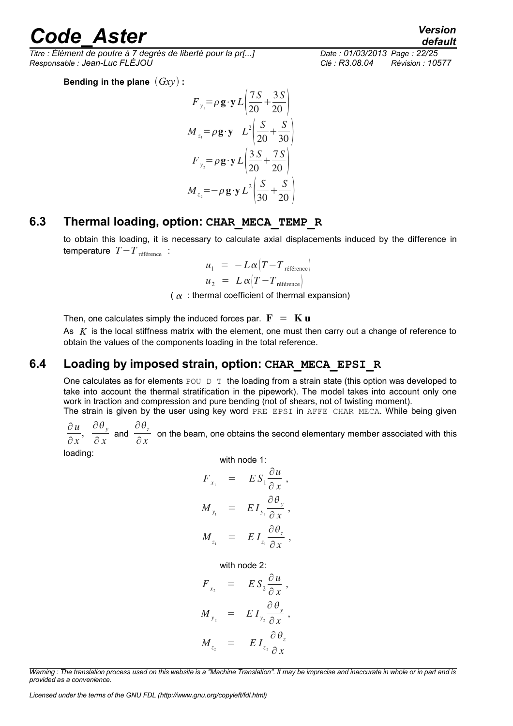*Titre : Élément de poutre à 7 degrés de liberté pour la pr[...] Date : 01/03/2013 Page : 22/25 Responsable : Jean-Luc FLÉJOU Clé : R3.08.04 Révision : 10577*

**Bending in the plane** *Gxy* **:**

$$
F_{y_1} = \rho \mathbf{g} \cdot \mathbf{y} L \left( \frac{7S}{20} + \frac{3S}{20} \right)
$$
  

$$
M_{z_1} = \rho \mathbf{g} \cdot \mathbf{y} L^2 \left( \frac{S}{20} + \frac{S}{30} \right)
$$
  

$$
F_{y_2} = \rho \mathbf{g} \cdot \mathbf{y} L \left( \frac{3S}{20} + \frac{7S}{20} \right)
$$
  

$$
M_{z_2} = -\rho \mathbf{g} \cdot \mathbf{y} L^2 \left( \frac{S}{30} + \frac{S}{20} \right)
$$

#### **6.3 Thermal loading, option: CHAR\_MECA\_TEMP\_R**

<span id="page-21-1"></span>to obtain this loading, it is necessary to calculate axial displacements induced by the difference in temperature *T*−*T* référence :

$$
u_1 = -L\alpha \left( T - T_{\text{reference}} \right)
$$
  

$$
u_2 = L\alpha \left( T - T_{\text{reference}} \right)
$$

 $(\alpha :$  thermal coefficient of thermal expansion)

Then, one calculates simply the induced forces par.  $\mathbf{F} = \mathbf{K} \mathbf{u}$ 

As *K* is the local stiffness matrix with the element, one must then carry out a change of reference to obtain the values of the components loading in the total reference.

#### **6.4 Loading by imposed strain, option: CHAR\_MECA\_EPSI\_R**

<span id="page-21-0"></span>One calculates as for elements POU  $D$  T the loading from a strain state (this option was developed to take into account the thermal stratification in the pipework). The model takes into account only one work in traction and compression and pure bending (not of shears, not of twisting moment).

The strain is given by the user using key word PRE\_EPSI in AFFE\_CHAR\_MECA. While being given ∂ *u*

∂ *x*  $\frac{\partial \theta_y}{\partial x}$  $\frac{\partial \theta_y}{\partial x}$  and  $\frac{\partial \theta_z}{\partial x}$  $\frac{z}{\partial x}$  on the beam, one obtains the second elementary member associated with this

loading:

with node 1:  
\n
$$
F_{x_1} = ES_1 \frac{\partial u}{\partial x},
$$
\n
$$
M_{y_1} = EI_{y_1} \frac{\partial \theta_y}{\partial x},
$$
\n
$$
M_{z_1} = EI_{z_1} \frac{\partial \theta_z}{\partial x},
$$

with node 2:

$$
F_{x_2} = ES_2 \frac{\partial u}{\partial x},
$$
  

$$
M_{y_2} = EI_{y_2} \frac{\partial \theta_y}{\partial x},
$$
  

$$
M_{z_2} = EI_{z_2} \frac{\partial \theta_z}{\partial x}
$$

*Warning : The translation process used on this website is a "Machine Translation". It may be imprecise and inaccurate in whole or in part and is provided as a convenience.*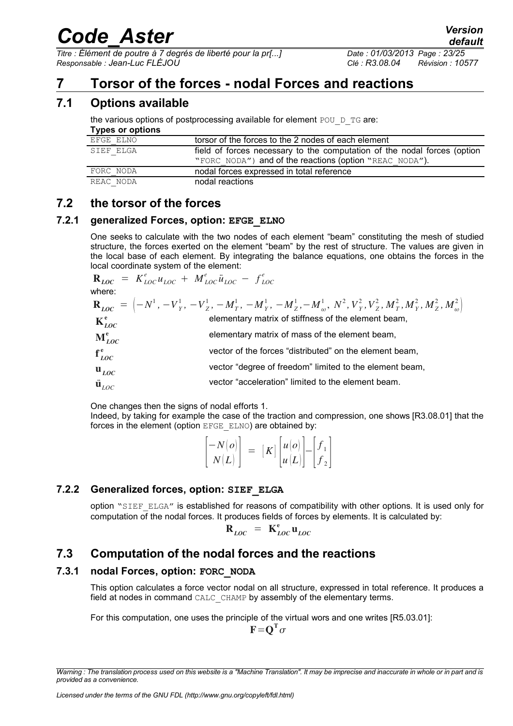*Titre : Élément de poutre à 7 degrés de liberté pour la pr[...] Date : 01/03/2013 Page : 23/25 Responsable : Jean-Luc FLÉJOU Clé : R3.08.04 Révision : 10577*

### <span id="page-22-6"></span>**7 Torsor of the forces - nodal Forces and reactions**

#### **7.1 Options available**

<span id="page-22-5"></span>the various options of postprocessing available for element POU  $D$  TG are:

#### **Types or options**

| EFGE ELNO | torsor of the forces to the 2 nodes of each element                      |  |  |
|-----------|--------------------------------------------------------------------------|--|--|
| SIEF ELGA | field of forces necessary to the computation of the nodal forces (option |  |  |
|           | "FORC NODA") and of the reactions (option "REAC NODA").                  |  |  |
| FORC NODA | nodal forces expressed in total reference                                |  |  |
| REAC NODA | nodal reactions                                                          |  |  |

#### <span id="page-22-4"></span>**7.2 the torsor of the forces**

#### **7.2.1 generalized Forces, option: EFGE\_ELNO**

<span id="page-22-3"></span>One seeks to calculate with the two nodes of each element "beam" constituting the mesh of studied structure, the forces exerted on the element "beam" by the rest of structure. The values are given in the local base of each element. By integrating the balance equations, one obtains the forces in the local coordinate system of the element:

$$
\mathbf{R}_{LOC} = K_{LOC}^e u_{LOC} + M_{LOC}^e \ddot{u}_{LOC} - f_{LOC}^e
$$
\nwhere:  
\n
$$
\mathbf{R}_{LOC} = \left(-N^1, -V_Y^1, -V_Z^1, -M_T^1, -M_Y^1, -M_Z^1, -M_w^1, N^2, V_Y^2, V_Z^2, M_T^2, M_Y^2, M_Z^2, M_w^2\right)
$$
\n
$$
\mathbf{K}_{LOC}^e
$$
\nelementary matrix of stiffness of the element beam,  
\n
$$
\mathbf{M}_{LOC}^e
$$
\nvector of the forces "distributed" on the element beam,  
\n
$$
\mathbf{u}_{LOC}
$$
\nvector "degree of freedom" limited to the element beam,  
\nvector "acceleration" limited to the element beam.  
\nvector "acceleration" limited to the element beam.

One changes then the signs of nodal efforts 1.

Indeed, by taking for example the case of the traction and compression, one shows [R3.08.01] that the forces in the element (option EFGE\_ELNO) are obtained by:

| $ -N(o) $ |  |                                                                                                                         |  |  |
|-----------|--|-------------------------------------------------------------------------------------------------------------------------|--|--|
| N(L)      |  | $\begin{bmatrix} K \end{bmatrix} \begin{bmatrix} u(o) \\ u(L) \end{bmatrix} - \begin{bmatrix} f_1 \\ f_2 \end{bmatrix}$ |  |  |

#### **7.2.2 Generalized forces, option: SIEF\_ELGA**

<span id="page-22-2"></span>option "SIEF\_ELGA" is established for reasons of compatibility with other options. It is used only for computation of the nodal forces. It produces fields of forces by elements. It is calculated by:

$$
\mathbf{R}_{LOC} = \mathbf{K}_{LOC}^e \mathbf{u}_{LOC}
$$

#### <span id="page-22-1"></span>**7.3 Computation of the nodal forces and the reactions**

#### **7.3.1 nodal Forces, option: FORC\_NODA**

<span id="page-22-0"></span>This option calculates a force vector nodal on all structure, expressed in total reference. It produces a field at nodes in command CALC\_CHAMP by assembly of the elementary terms.

For this computation, one uses the principle of the virtual wors and one writes [R5.03.01]:

 $\mathbf{F} = \mathbf{Q}^{\mathrm{T}} \sigma$ 

*Warning : The translation process used on this website is a "Machine Translation". It may be imprecise and inaccurate in whole or in part and is provided as a convenience.*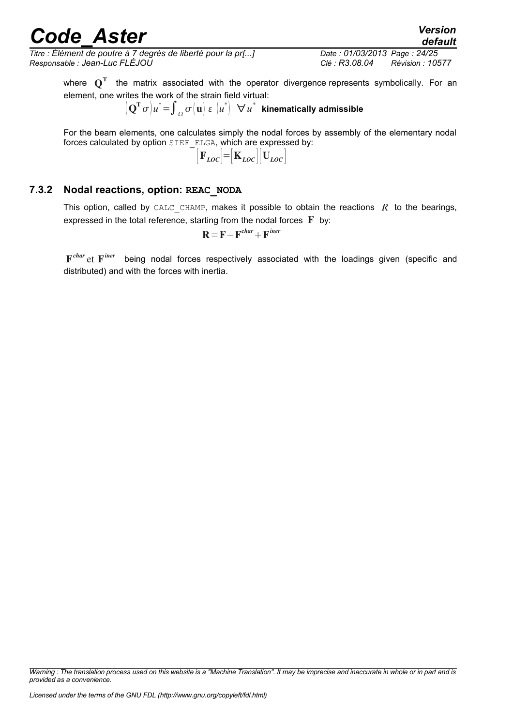*Titre : Élément de poutre à 7 degrés de liberté pour la pr[...] Date : 01/03/2013 Page : 24/25 Responsable : Jean-Luc FLÉJOU Clé : R3.08.04 Révision : 10577*

where  $\mathbf{Q}^\mathrm{T}$  the matrix associated with the operator divergence represents symbolically. For an element, one writes the work of the strain field virtual:

$$
\left[ \left( \mathbf{Q}^{\mathrm{T}} \, \sigma \right) u^* \! = \! \int_{\varOmega} \sigma \! \left( \mathbf{u} \right) \, \varepsilon \, \left( u^* \right) \ \ \forall \, u^* \ \ \text{kinematically admissible}
$$

For the beam elements, one calculates simply the nodal forces by assembly of the elementary nodal forces calculated by option SIEF ELGA, which are expressed by:

$$
\big[ \mathbf{F}_{LOC} \big] \!\! = \!\! \big[ \mathbf{K}_{LOC} \big] \! \big[ \mathbf{U}_{LOC} \big]
$$

#### **7.3.2 Nodal reactions, option: REAC\_NODA**

<span id="page-23-0"></span>This option, called by CALC CHAMP, makes it possible to obtain the reactions  $R$  to the bearings, expressed in the total reference, starting from the nodal forces  $\mathbf F$  by:

$$
\mathbf{R} = \mathbf{F} - \mathbf{F}^{char} + \mathbf{F}^{iner}
$$

F *char* et F being nodal forces respectively associated with the loadings given (specific and distributed) and with the forces with inertia.

*Warning : The translation process used on this website is a "Machine Translation". It may be imprecise and inaccurate in whole or in part and is provided as a convenience.*